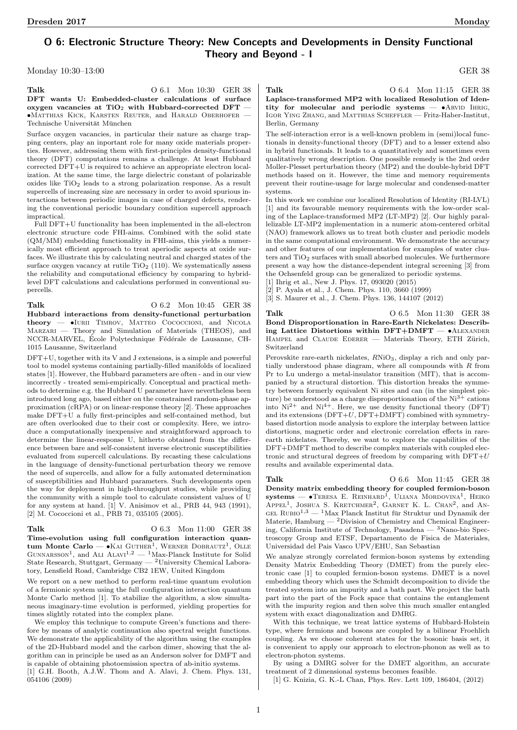# O 6: Electronic Structure Theory: New Concepts and Developments in Density Functional Theory and Beyond - I

Monday 10:30–13:00 GER 38

Talk 0 6.1 Mon 10:30 GER 38 DFT wants U: Embedded-cluster calculations of surface oxygen vacancies at  $TiO<sub>2</sub>$  with Hubbard-corrected DFT •Matthias Kick, Karsten Reuter, and Harald Oberhofer — Technische Universität München

Surface oxygen vacancies, in particular their nature as charge trapping centers, play an inportant role for many oxide materials properties. However, addressing them with first-principles density-functional theory (DFT) computations remains a challenge. At least Hubbard corrected DFT+U is required to achieve an appropriate electron localization. At the same time, the large dielectric constant of polarizable oxides like  $\rm TiO_2$  leads to a strong polarization response. As a result supercells of increasing size are necessary in order to avoid spurious interactions between periodic images in case of charged defects, rendering the conventional periodic boundary condition supercell approach impractical.

Full DFT+U functionality has been implemented in the all-electron electronic structure code FHI-aims. Combined with the solid state (QM/MM) embedding functionality in FHI-aims, this yields a numerically most efficient approach to treat aperiodic aspects at oxide surfaces. We illustrate this by calculating neutral and charged states of the surface oxygen vacancy at rutile  $TiO<sub>2</sub>$  (110). We systematically assess the reliability and computational efficiency by comparing to hybridlevel DFT calculations and calculations performed in conventional supercells.

### Talk 0 6.2 Mon 10:45 GER 38

Hubbard interactions from density-functional perturbation theory - IURII TIMROV, MATTEO COCOCCIONI, and NICOLA Marzari — Theory and Simulation of Materials (THEOS), and NCCR-MARVEL, École Polytechnique Fédérale de Lausanne, CH-1015 Lausanne, Switzerland

DFT+U, together with its V and J extensions, is a simple and powerful tool to model systems containing partially-filled manifolds of localized states [1]. However, the Hubbard parameters are often - and in our view incorrectly - treated semi-empirically. Conceptual and practical methods to determine e.g. the Hubbard U parameter have nevertheless been introduced long ago, based either on the constrained random-phase approximation (cRPA) or on linear-response theory [2]. These approaches make DFT+U a fully first-principles and self-contained method, but are often overlooked due to their cost or complexity. Here, we introduce a computationally inexpensive and straightforward approach to determine the linear-response U, hitherto obtained from the difference between bare and self-consistent inverse electronic susceptibilities evaluated from supercell calculations. By recasting these calculations in the language of density-functional perturbation theory we remove the need of supercells, and allow for a fully automated determination of susceptibilities and Hubbard parameters. Such developments open the way for deployment in high-throughput studies, while providing the community with a simple tool to calculate consistent values of U for any system at hand. [1] V. Anisimov et al., PRB 44, 943 (1991), [2] M. Cococcioni et al., PRB 71, 035105 (2005).

### Talk 0 6.3 Mon 11:00 GER 38

Time-evolution using full configuration interaction quantum Monte Carlo —  $\bullet$ Kai Guther<sup>1</sup>, Werner Dobrautz<sup>1</sup>, Olle GUNNARSSON<sup>1</sup>, and ALI ALAVI<sup>1,2</sup> — <sup>1</sup>Max-Planck Institute for Solid State Research, Stuttgart, Germany — <sup>2</sup>University Chemical Laboratory, Lensfield Road, Cambridge CB2 1EW, United Kingdom

We report on a new method to perform real-time quantum evolution of a fermionic system using the full configuration interaction quantum Monte Carlo method [1]. To stabilize the algorithm, a slow simultaneous imaginary-time evolution is performed, yielding properties for times slightly rotated into the complex plane.

We employ this technique to compute Green's functions and therefore by means of analytic continuation also spectral weight functions. We demonstrate the applicability of the algorithm using the examples of the 2D-Hubbard model and the carbon dimer, showing that the algorithm can in principle be used as an Anderson solver for DMFT and is capable of obtaining photoemission spectra of ab-initio systems. [1] G.H. Booth, A.J.W. Thom and A. Alavi, J. Chem. Phys. 131, 054106 (2009)

Talk 0 6.4 Mon 11:15 GER 38

Laplace-transformed MP2 with localized Resolution of Identity for molecular and periodic systems  $\bullet$ ARVID IHRIG, Igor Ying Zhang, and Matthias Scheffler — Fritz-Haber-Institut, Berlin, Germany

The self-interaction error is a well-known problem in (semi)local functionals in density-functional theory (DFT) and to a lesser extend also in hybrid functionals. It leads to a quantitatively and sometimes even qualitatively wrong description. One possible remedy is the 2nd order Moller-Plesset perturbation theory (MP2) and the double-hybrid DFT methods based on it. However, the time and memory requirements prevent their routine-usage for large molecular and condensed-matter systems.

In this work we combine our localized Resolution of Identity (RI-LVL) [1] and its favourable memory requirements with the low-order scaling of the Laplace-transformed MP2 (LT-MP2) [2]. Our highly parallelizable LT-MP2 implementation in a numeric atom-centered orbital (NAO) framework allows us to treat both cluster and periodic models in the same computational environment. We demonstrate the accuracy and other features of our implementation for examples of water clusters and  $TiO<sub>2</sub>$  surfaces with small absorbed molecules. We furthermore present a way how the distance-dependent integral screening [3] from the Ochsenfeld group can be generalized to periodic systems.

[1] Ihrig et al., New J. Phys. 17, 093020 (2015)

[2] P. Ayala et al., J. Chem. Phys. 110, 3660 (1999)

[3] S. Maurer et al., J. Chem. Phys. 136, 144107 (2012)

Talk 0 6.5 Mon 11:30 GER 38 Bond Disproportionation in Rare-Earth Nickelates: Describing Lattice Distortions within DFT+DMFT — •Alexander HAMPEL and CLAUDE EDERER — Materials Theory, ETH Zürich, Switzerland

Perovskite rare-earth nickelates,  $RNiO<sub>3</sub>$ , display a rich and only partially understood phase diagram, where all compounds with R from Pr to Lu undergo a metal-insulator transition (MIT), that is accompanied by a structural distortion. This distortion breaks the symmetry between formerly equivalent Ni sites and can (in the simplest picture) be understood as a charge disproportionation of the  $Ni<sup>3+</sup>$  cations into  $Ni^{2+}$  and  $Ni^{4+}$ . Here, we use density functional theory (DFT) and its extensions  $(DFT+U, DFT+DMFT)$  combined with symmetrybased distortion mode analysis to explore the interplay between lattice distortions, magnetic order and electronic correlation effects in rareearth nickelates. Thereby, we want to explore the capabilities of the DFT+DMFT method to describe complex materials with coupled electronic and structural degrees of freedom by comparing with  $DFT+U$ results and available experimental data.

Talk 0 6.6 Mon 11:45 GER 38 Density matrix embedding theory for coupled fermion-boson  $s$ ystems — •Teresa E. Reinhard<sup>1</sup>, Uliana Mordovina<sup>1</sup>, Heiko APPEL<sup>1</sup>, JOSHUA S. KRETCHMER<sup>2</sup>, GARNET K. L. CHAN<sup>2</sup>, and AN-GEL RUBIO<sup>1,3</sup> — <sup>1</sup>Max Planck Institut für Struktur und Dynamik der Materie,  $\text{Hamburg} \longrightarrow 2$ Division of Chemistry and Chemical Engineering, California Institute of Technology, Pasadena — <sup>3</sup>Nano-bio Spectroscopy Group and ETSF, Departamento de Fisica de Materiales, Universidad del Pais Vasco UPV/EHU, San Sebastian

We analyze strongly correlated fermion-boson systems by extending Density Matrix Embedding Theory (DMET) from the purely electronic case [1] to coupled fermion-boson systems. DMET is a novel embedding theory which uses the Schmidt decomposition to divide the treated system into an impurity and a bath part. We project the bath part into the part of the Fock space that contains the entanglement with the impurity region and then solve this much smaller entangled system with exact diagonalization and DMRG.

With this technique, we treat lattice systems of Hubbard-Holstein type, where fermions and bosons are coupled by a bilinear Froehlich coupling. As we choose coherent states for the bosonic basis set, it is convenient to apply our approach to electron-phonon as well as to electron-photon systems.

By using a DMRG solver for the DMET algorithm, an accurate treatment of 2 dimensional systems becomes feasible.

[1] G. Knizia, G. K.-L Chan, Phys. Rev. Lett 109, 186404, (2012)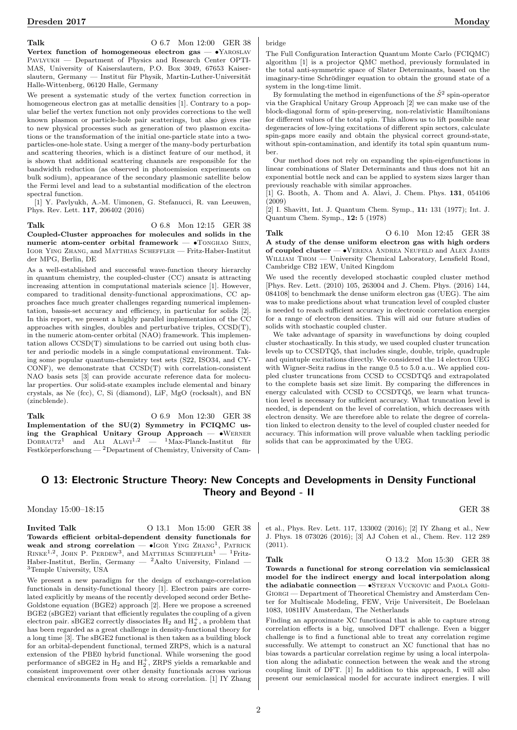Talk 0 6.7 Mon 12:00 GER 38

Vertex function of homogeneous electron gas — •Yaroslav Pavlyukh — Department of Physics and Research Center OPTI-MAS, University of Kaiserslautern, P.O. Box 3049, 67653 Kaiserslautern, Germany — Institut für Physik, Martin-Luther-Universität Halle-Wittenberg, 06120 Halle, Germany

We present a systematic study of the vertex function correction in homogeneous electron gas at metallic densities [1]. Contrary to a popular belief the vertex function not only provides corrections to the well known plasmon or particle-hole pair scatterings, but also gives rise to new physical processes such as generation of two plasmon excitations or the transformation of the initial one-particle state into a twoparticles-one-hole state. Using a merger of the many-body perturbation and scattering theories, which is a distinct feature of our method, it is shown that additional scattering channels are responsible for the bandwidth reduction (as observed in photoemission experiments on bulk sodium), appearance of the secondary plasmonic satellite below the Fermi level and lead to a substantial modification of the electron spectral function.

[1] Y. Pavlyukh, A.-M. Uimonen, G. Stefanucci, R. van Leeuwen, Phys. Rev. Lett. 117, 206402 (2016)

Talk 0 6.8 Mon 12:15 GER 38 Coupled-Cluster approaches for molecules and solids in the numeric atom-center orbital framework — •Tonghao Shen, Igor Ying Zhang, and Matthias Scheffler — Fritz-Haber-Institut der MPG, Berlin, DE

As a well-established and successful wave-function theory hierarchy in quantum chemistry, the coupled-cluster (CC) ansatz is attracting increasing attention in computational materials science [1]. However, compared to traditional density-functional approximations, CC approaches face much greater challenges regarding numerical implementation, bassis-set accuracy and efficiency, in particular for solids [2]. In this report, we present a highly parallel implementation of the CC approaches with singles, doubles and perturbative triples, CCSD(T), in the numeric atom-center orbital (NAO) framework. This implementation allows CCSD(T) simulations to be carried out using both cluster and periodic models in a single computational environment. Taking some popular quantum-chemistry test sets (S22, ISO34, and CY-CONF), we demonstrate that CCSD(T) with correlation-consistent NAO basis sets [3] can provide accurate reference data for molecular properties. Our solid-state examples include elemental and binary crystals, as Ne (fcc), C, Si (diamond), LiF, MgO (rocksalt), and BN (zincblende).

Talk 0 6.9 Mon 12:30 GER 38 Implementation of the SU(2) Symmetry in FCIQMC using the Graphical Unitary Group Approach — •Werner  $\text{D} \text{OR} \text{A} \text{UTZ}^1$  and ALI  $\text{ALAVI}^{1,2}$  —  $\text{1} \text{Max-Planck-Institut}$  für Festkörperforschung — <sup>2</sup>Department of Chemistry, University of Cambridge

The Full Configuration Interaction Quantum Monte Carlo (FCIQMC) algorithm [1] is a projector QMC method, previously formulated in the total anti-symmetric space of Slater Determinants, based on the imaginary-time Schrödinger equation to obtain the ground state of a system in the long-time limit.

By formulating the method in eigenfunctions of the  $\hat{S}^2$  spin-operator via the Graphical Unitary Group Approach [2] we can make use of the block-diagonal form of spin-preserving, non-relativistic Hamiltonians for different values of the total spin. This allows us to lift possible near degeneracies of low-lying excitations of different spin sectors, calculate spin-gaps more easily and obtain the physical correct ground-state, without spin-contamination, and identify its total spin quantum number.

Our method does not rely on expanding the spin-eigenfunctions in linear combinations of Slater Determinants and thus does not hit an exponential bottle neck and can be applied to system sizes larger than previously reachable with similar approaches.

[1] G. Booth, A. Thom and A. Alavi, J. Chem. Phys. 131, 054106 (2009)

[2] I. Shavitt, Int. J. Quantum Chem. Symp., 11: 131 (1977); Int. J. Quantum Chem. Symp., 12: 5 (1978)

Talk 0 6.10 Mon 12:45 GER 38 A study of the dense uniform electron gas with high orders of coupled cluster — •Verena Andrea Neufeld and Alex James WILLIAM THOM — University Chemical Laboratory, Lensfield Road, Cambridge CB2 1EW, United Kingdom

We used the recently developed stochastic coupled cluster method [Phys. Rev. Lett. (2010) 105, 263004 and J. Chem. Phys. (2016) 144, 084108] to benchmark the dense uniform electron gas (UEG). The aim was to make predictions about what truncation level of coupled cluster is needed to reach sufficient accuracy in electronic correlation energies for a range of electron densities. This will aid our future studies of solids with stochastic coupled cluster.

We take advantage of sparsity in wavefunctions by doing coupled cluster stochastically. In this study, we used coupled cluster truncation levels up to CCSDTQ5, that includes single, double, triple, quadruple and quintuple excitations directly. We considered the 14 electron UEG with Wigner-Seitz radius in the range 0.5 to 5.0 a.u.. We applied coupled cluster truncations from CCSD to CCSDTQ5 and extrapolated to the complete basis set size limit. By comparing the differences in energy calculated with CCSD to CCSDTQ5, we learn what truncation level is necessary for sufficient accuracy. What truncation level is needed, is dependent on the level of correlation, which decreases with electron density. We are therefore able to relate the degree of correlation linked to electron density to the level of coupled cluster needed for accuracy. This information will prove valuable when tackling periodic solids that can be approximated by the UEG.

# O 13: Electronic Structure Theory: New Concepts and Developments in Density Functional Theory and Beyond - II

### Monday 15:00–18:15 GER 38

**Invited Talk**  $0\ 13.1$  Mon 15:00 GER 38 Towards efficient orbital-dependent density functionals for weak and strong correlation  $\bullet$ IGOR YING ZHANG<sup>1</sup>, PATRICK RINKE<sup>1,2</sup>, JOHN P. PERDEW<sup>3</sup>, and MATTHIAS SCHEFFLER<sup>1</sup> - <sup>1</sup>Fritz-Haber-Institut, Berlin, Germany  $-$  <sup>2</sup>Aalto University, Finland <sup>3</sup>Temple University, USA

We present a new paradigm for the design of exchange-correlation functionals in density-functional theory [1]. Electron pairs are correlated explicitly by means of the recently developed second order Bethe-Goldstone equation (BGE2) approach [2]. Here we propose a screened BGE2 (sBGE2) variant that efficiently regulates the coupling of a given electron pair. sBGE2 correctly dissociates  $H_2$  and  $H_2^+$ , a problem that has been regarded as a great challenge in density-functional theory for a long time [3]. The sBGE2 functional is then taken as a building block for an orbital-dependent functional, termed ZRPS, which is a natural extension of the PBE0 hybrid functional. While worsening the good performance of sBGE2 in  $H_2$  and  $H_2^+$ , ZRPS yields a remarkable and consistent improvement over other density functionals across various chemical environments from weak to strong correlation. [1] IY Zhang et al., Phys. Rev. Lett. 117, 133002 (2016); [2] IY Zhang et al., New J. Phys. 18 073026 (2016); [3] AJ Cohen et al., Chem. Rev. 112 289 (2011).

Talk 0 13.2 Mon 15:30 GER 38 Towards a functional for strong correlation via semiclassical model for the indirect energy and local interpolation along the adiabatic connection —  $\bullet$ STEFAN VUCKOVIC and PAOLA GORI-Giorgi — Department of Theoretical Chemistry and Amsterdam Center for Multiscale Modeling, FEW, Vrije Universiteit, De Boelelaan 1083, 1081HV Amsterdam, The Netherlands

Finding an approximate XC functional that is able to capture strong correlation effects is a big, unsolved DFT challenge. Even a bigger challenge is to find a functional able to treat any correlation regime successfully. We attempt to construct an XC functional that has no bias towards a particular correlation regime by using a local interpolation along the adiabatic connection between the weak and the strong coupling limit of DFT. [1] In addition to this approach, I will also present our semiclassical model for accurate indirect energies. I will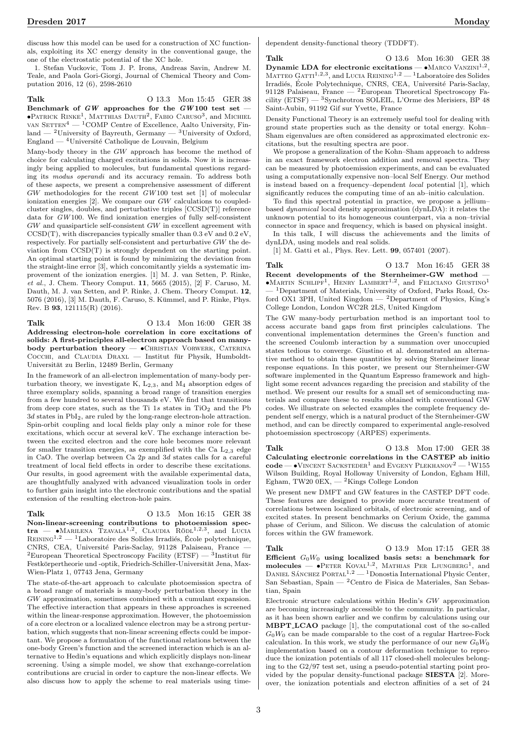discuss how this model can be used for a construction of XC functionals, exploiting its XC energy density in the conventional gauge, the one of the electrostatic potential of the XC hole.

1. Stefan Vuckovic, Tom J. P. Irons, Andreas Savin, Andrew M. Teale, and Paola Gori-Giorgi, Journal of Chemical Theory and Computation 2016, 12 (6), 2598-2610

Talk **O** 13.3 Mon 15:45 GER 38 Benchmark of  $GW$  approaches for the  $GW100$  test set - $\bullet$ Patrick Rinke<sup>1</sup>, Matthias Dauth<sup>2</sup>, Fabio Caruso<sup>3</sup>, and Michiel van  $\text{SETTEN}^4$  —  $^1$ COMP Centre of Excellence, Aalto University, Finland — <sup>2</sup>University of Bayreuth, Germany — <sup>3</sup>University of Oxford, England —  $^{4}$ Université Catholique de Louvain, Belgium

Many-body theory in the GW approach has become the method of choice for calculating charged excitations in solids. Now it is increasingly being applied to molecules, but fundamental questions regarding its modus operandi and its accuracy remain. To address both of these aspects, we present a comprehensive assessment of different GW methodologies for the recent GW 100 test set [1] of molecular ionization energies [2]. We compare our GW calculations to coupledcluster singles, doubles, and perturbative triples [CCSD(T)] reference data for GW 100. We find ionization energies of fully self-consistent GW and quasiparticle self-consistent GW in excellent agreement with  $CCSD(T)$ , with discrepancies typically smaller than  $0.3 \text{ eV}$  and  $0.2 \text{ eV}$ . respectively. For partially self-consistent and perturbative GW the deviation from CCSD(T) is strongly dependent on the starting point. An optimal starting point is found by minimizing the deviation from the straight-line error [3], which concomitantly yields a systematic improvement of the ionization energies. [1] M. J. van Setten, P. Rinke, et al., J. Chem. Theory Comput. 11, 5665 (2015), [2] F. Caruso, M. Dauth, M. J. van Setten, and P. Rinke, J. Chem. Theory Comput. 12, 5076 (2016), [3] M. Dauth, F. Caruso, S. Kummel, and P. Rinke, Phys. ¨ Rev. B 93, 121115(R) (2016).

Talk 0 13.4 Mon 16:00 GER 38 Addressing electron-hole correlation in core excitations of solids: A first-principles all-electron approach based on manybody perturbation theory —  $\bullet$ CHRISTIAN VORWERK, CATERINA  $CocCH$ , and  $CLAUDIA$   $DRAXL$  — Institut für Physik, Humboldt-Universität zu Berlin, 12489 Berlin, Germany

In the framework of an all-electron implementation of many-body perturbation theory, we investigate K,  $L_{2,3}$ , and  $M_4$  absorption edges of three exemplary solids, spanning a broad range of transition energies from a few hundred to several thousands eV. We find that transitions from deep core states, such as the Ti  $1s$  states in TiO<sub>2</sub> and the Pb  $3d$  states in PbI<sub>2</sub>, are ruled by the long-range electron-hole attraction. Spin-orbit coupling and local fields play only a minor role for these excitations, which occur at several keV. The exchange interaction between the excited electron and the core hole becomes more relevant for smaller transition energies, as exemplified with the Ca  $L_{2,3}$  edge in CaO. The overlap between Ca  $2p$  and 3d states calls for a careful treatment of local field effects in order to describe these excitations. Our results, in good agreement with the available experimental data, are thoughtfully analyzed with advanced visualization tools in order to further gain insight into the electronic contributions and the spatial extension of the resulting electron-hole pairs.

Talk 0 13.5 Mon 16:15 GER 38 Non-linear-screening contributions to photoemission spec $tra$   $-MARILENA$  TZAVALA<sup>1,2</sup>, CLAUDIA RÖDL<sup>1,2,3</sup>, and LUCIA REINING<sup>1,2</sup> — <sup>1</sup>Laboratoire des Solides Irradiés, École polytechnique, CNRS, CEA, Université Paris-Saclay, 91128 Palaiseau, France - ${}^{2}$ European Theoretical Spectroscopy Facility (ETSF) —  ${}^{3}$ Institut für Festkörpertheorie und -optik, Friedrich-Schiller-Universität Jena, Max-Wien-Platz 1, 07743 Jena, Germany

The state-of-the-art approach to calculate photoemission spectra of a broad range of materials is many-body perturbation theory in the GW approximation, sometimes combined with a cumulant expansion. The effective interaction that appears in these approaches is screened within the linear-response approximation. However, the photoemission of a core electron or a localized valence electron may be a strong perturbation, which suggests that non-linear screening effects could be important. We propose a formulation of the functional relations between the one-body Green's function and the screened interaction which is an alternative to Hedin's equations and which explicitly displays non-linear screening. Using a simple model, we show that exchange-correlation contributions are crucial in order to capture the non-linear effects. We also discuss how to apply the scheme to real materials using timedependent density-functional theory (TDDFT).

Talk 0 13.6 Mon 16:30 GER 38 Dynamic LDA for electronic excitations —  $\bullet$ MARCO VANZINI<sup>1,2</sup>, MATTEO GATTI<sup>1,2,3</sup>, and LUCIA REINING<sup>1,2</sup> - <sup>1</sup>Laboratoire des Solides Irradiés, École Polytechnique, CNRS, CEA, Université Paris-Saclay, 91128 Palaiseau, France —  $^2$ European Theoretical Spectroscopy Facility (ETSF) — <sup>3</sup>Synchrotron SOLEIL, L'Orme des Merisiers, BP 48 Saint-Aubin, 91192 Gif sur Yvette, France

Density Functional Theory is an extremely useful tool for dealing with ground state properties such as the density or total energy. Kohn– Sham eigenvalues are often considered as approximated electronic excitations, but the resulting spectra are poor.

We propose a generalization of the Kohn–Sham approach to address in an exact framework electron addition and removal spectra. They can be measured by photoemission experiments, and can be evaluated using a computationally expensive non–local Self Energy. Our method is instead based on a frequency–dependent local potential [1], which significantly reduces the computing time of an ab–initio calculation.

To find this spectral potential in practice, we propose a jellium– based dynamical local density approximation (dynLDA): it relates the unknown potential to its homogeneous counterpart, via a non–trivial connector in space and frequency, which is based on physical insight.

In this talk, I will discuss the achievements and the limits of dynLDA, using models and real solids.

[1] M. Gatti et al., Phys. Rev. Lett. **99**, 057401 (2007).

Talk 0 13.7 Mon 16:45 GER 38 Recent developments of the Sternheimer-GW method —  $\bullet$ Martin Schlipf<sup>1</sup>, Henry Lambert<sup>1,2</sup>, and Feliciano Giustino<sup>1</sup> — <sup>1</sup>Department of Materials, University of Oxford, Parks Road, Oxford OX1 3PH, United Kingdom —  $^{2}$ Department of Physics, King's College London, London WC2R 2LS, United Kingdom

The GW many-body perturbation method is an important tool to access accurate band gaps from first principles calculations. The conventional implementation determines the Green's function and the screened Coulomb interaction by a summation over unoccupied states tedious to converge. Giustino et al. demonstrated an alternative method to obtain these quantities by solving Sternheimer linear response equations. In this poster, we present our Sternheimer-GW software implemented in the Quantum Espresso framework and highlight some recent advances regarding the precision and stability of the method. We present our results for a small set of semiconducting materials and compare these to results obtained with conventional GW codes. We illustrate on selected examples the complete frequency dependent self energy, which is a natural product of the Sternheimer-GW method, and can be directly compared to experimental angle-resolved photoemission spectroscopy (ARPES) experiments.

Talk 0 13.8 Mon 17:00 GER 38 Calculating electronic correlations in the CASTEP ab initio  $\text{code} - \bullet \text{V}$ INCENT SACKSTEDER<sup>1</sup> and EVGENY PLEKHANOV<sup>2</sup> — <sup>1</sup>W155 Wilson Building, Royal Holloway University of London, Egham Hill, Egham, TW20 0EX,  $-$  <sup>2</sup>Kings College London

We present new DMFT and GW features in the CASTEP DFT code. These features are designed to provide more accurate treatment of correlations between localized orbitals, of electronic screening, and of excited states. In present benchmarks on Cerium Oxide, the gamma phase of Cerium, and Silicon. We discuss the calculation of atomic forces within the GW framework.

Talk 0 13.9 Mon 17:15 GER 38 Efficient  $G_0W_0$  using localized basis sets: a benchmark for  $\text{molecules} \longrightarrow \text{PETER KovAL}^{1,2}$ , MATHIAS PER LJUNGBERG<sup>1</sup>, and DANIEL SÁNCHEZ PORTAL<sup>1,2</sup> — <sup>1</sup>Donostia International Physic Center, San Sebastian, Spain — <sup>2</sup>Centro de Fisica de Materiales, San Sebastian, Spain

Electronic structure calculations within Hedin's GW approximation are becoming increasingly accessible to the community. In particular, as it has been shown earlier and we confirm by calculations using our MBPT LCAO package [1], the computational cost of the so-called  $G_0W_0$  can be made comparable to the cost of a regular Hartree-Fock calculation. In this work, we study the performance of our new  $G_0W_0$ implementation based on a contour deformation technique to reproduce the ionization potentials of all 117 closed-shell molecules belonging to the G2/97 test set, using a pseudo-potential starting point provided by the popular density-functional package SIESTA [2]. Moreover, the ionization potentials and electron affinities of a set of 24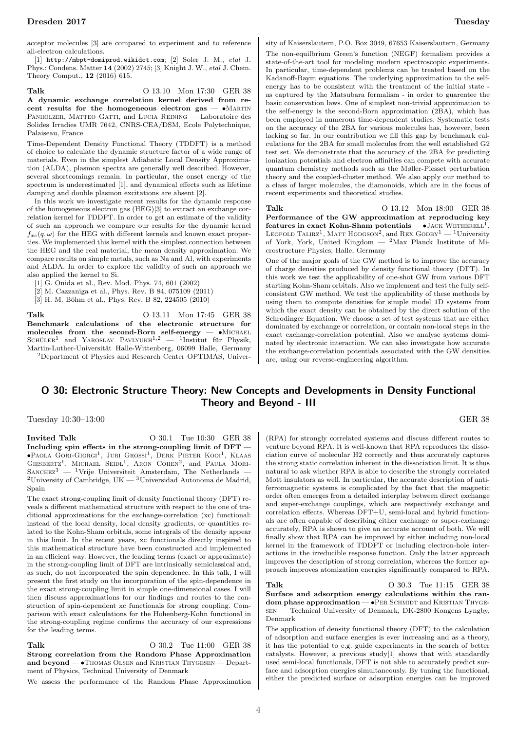acceptor molecules [3] are compared to experiment and to reference all-electron calculations.

[1] http://mbpt-domiprod.wikidot.com; [2] Soler J. M., etal J. Phys.: Condens. Matter 14 (2002) 2745; [3] Knight J. W., etal J. Chem. Theory Comput., 12 (2016) 615.

Talk 0 13.10 Mon 17:30 GER 38 A dynamic exchange correlation kernel derived from recent results for the homogeneous electron gas  $- \bullet$ MARTIN PANHOLZER, MATTEO GATTI, and LUCIA REINING - Laboratoire des Solides Irradies UMR 7642, CNRS-CEA/DSM, Ecole Polytechnique, Palaiseau, France

Time-Dependent Density Functional Theory (TDDFT) is a method of choice to calculate the dynamic structure factor of a wide range of materials. Even in the simplest Adiabatic Local Density Approximation (ALDA), plasmon spectra are generally well described. However, several shortcomings remain. In particular, the onset energy of the spectrum is underestimated [1], and dynamical effects such as lifetime damping and double plasmon excitations are absent [2].

In this work we investigate recent results for the dynamic response of the homogeneous electron gas (HEG)[3] to extract an exchange correlation kernel for TDDFT. In order to get an estimate of the validity of such an approach we compare our results for the dynamic kernel  $f_{xc}(a, \omega)$  for the HEG with different kernels and known exact properties. We implemented this kernel with the simplest connection between the HEG and the real material, the mean density approximation. We compare results on simple metals, such as Na and Al, with experiments and ALDA. In order to explore the validity of such an approach we also applied the kernel to Si.

- [2] M. Cazzaniga et al., Phys. Rev. B 84, 075109 (2011)
- $[3]$  H. M. Böhm et al., Phys. Rev. B 82, 224505 (2010)

Talk 0 13.11 Mon 17:45 GER 38 Benchmark calculations of the electronic structure for molecules from the second-Born self-energy —  $\bullet$ MICHAEL<br>SCHÜLER<sup>1</sup> and YAROSLAV PAVLYUKH<sup>1,2</sup> — <sup>1</sup>Institut für Physik, Martin-Luther-Universität Halle-Wittenberg, 06099 Halle, Germany — <sup>2</sup>Department of Physics and Research Center OPTIMAS, Univer-

sity of Kaiserslautern, P.O. Box 3049, 67653 Kaiserslautern, Germany The non-equilbrium Green's function (NEGF) formalism provides a state-of-the-art tool for modeling modern spectroscopic experiments. In particular, time-dependent problems can be treated based on the Kadanoff-Baym equations. The underlying approximation to the selfenergy has to be consistent with the treatment of the initial state as captured by the Matsubara formalism - in order to guarentee the basic conservation laws. One of simplest non-trivial approximation to the self-energy is the second-Born approximation (2BA), which has been employed in numerous time-dependent studies. Systematic tests on the accuracy of the 2BA for various molecules has, however, been lacking so far. In our contribution we fill this gap by benchmark calculations for the 2BA for small molecules from the well established G2 test set. We demonstrate that the accuracy of the 2BA for predicting ionization potentials and electron affinities can compete with accurate quantum chemistry methods such as the Møller-Plesset perturbation theory and the coupled-cluster method. We also apply our method to a class of larger molecules, the diamonoids, which are in the focus of recent experiments and theoretical studies.

Talk 0 13.12 Mon 18:00 GER 38 Performance of the GW approximation at reproducing key features in exact Kohn-Sham potentials  $\bullet$  JACK WETHERELL<sup>1</sup>, LEOPOLD TALIRZ<sup>1</sup>, MATT HODGSON<sup>2</sup>, and REX GODBY<sup>1</sup> — <sup>1</sup>University of York, York, United Kingdom — <sup>2</sup>Max Planck Institute of Microstructure Physics, Halle, Germany

One of the major goals of the GW method is to improve the accuracy of charge densities produced by density functional theory (DFT). In this work we test the applicability of one-shot GW from various DFT starting Kohn-Sham orbitals. Also we implement and test the fully selfconsistent GW method. We test the applicability of these methods by using them to compute densities for simple model 1D systems from which the exact density can be obtained by the direct solution of the Schrodinger Equation. We choose a set of test systems that are either dominated by exchange or correlation, or contain non-local steps in the exact exchange-correlation potential. Also we analyse systems dominated by electronic interaction. We can also investigate how accurate the exchange-correlation potentials associated with the GW densities are, using our reverse-engineering algorithm.

## O 30: Electronic Structure Theory: New Concepts and Developments in Density Functional Theory and Beyond - III

Tuesday 10:30–13:00 GER 38

**Invited Talk**  $\qquad \qquad$  0 30.1 Tue 10:30 GER 38 Including spin effects in the strong-coupling limit of DFT —  $\bullet$ Paola Gori-Giorgi<sup>1</sup>, Juri Grossi<sup>1</sup>, Derk Pieter Kooi<sup>1</sup>, Klaas GIESBERTZ<sup>1</sup>, MICHAEL SEIDL<sup>1</sup>, ARON COHEN<sup>2</sup>, and PAULA MORI-SANCHEZ<sup>3</sup> — <sup>1</sup>Vrije Universiteit Amsterdam, The Netherlands —  $^{2}$ University of Cambridge, UK —  $^{3}$ Universidad Autonoma de Madrid, Spain

The exact strong-coupling limit of density functional theory (DFT) reveals a different mathematical structure with respect to the one of traditional approximations for the exchange-correlation (xc) functional: instead of the local density, local density gradients, or quantities related to the Kohn-Sham orbitals, some integrals of the density appear in this limit. In the recent years, xc functionals directly inspired to this mathematical structure have been constructed and implemented in an efficient way. However, the leading terms (exact or approximate) in the strong-coupling limit of DFT are intrinsically semiclassical and, as such, do not incorporated the spin dependence. In this talk, I will present the first study on the incorporation of the spin-dependence in the exact strong-coupling limit in simple one-dimensional cases. I will then discuss approximations for our findings and routes to the construction of spin-dependent xc functionals for strong coupling. Comparison with exact calculations for the Hohenberg-Kohn functional in the strong-coupling regime confirms the accuracy of our expressions for the leading terms.

Talk 0 30.2 Tue 11:00 GER 38 Strong correlation from the Random Phase Approximation and beyond - • THOMAS OLSEN and KRISTIAN THYGESEN - Department of Physics, Technical University of Denmark

We assess the performance of the Random Phase Approximation

(RPA) for strongly correlated systems and discuss different routes to venture beyond RPA. It is well-known that RPA reproduces the dissociation curve of molecular H2 correctly and thus accurately captures the strong static correlation inherent in the dissociation limit. It is thus natural to ask whether RPA is able to describe the strongly correlated Mott insulators as well. In particular, the accurate description of antiferromagnetic systems is complicated by the fact that the magnetic order often emerges from a detailed interplay between direct exchange and super-exchange couplings, which are respectively exchange and correlation effects. Whereas DFT+U, semi-local and hybrid functionals are often capable of describing either exchange or super-exchange accurately, RPA is shown to give an accurate account of both. We will finally show that RPA can be improved by either including non-local kernel in the framework of TDDFT or including electron-hole interactions in the irreducible response function. Only the latter approach improves the description of strong correlation, whereas the former approach improves atomization energies significantly compared to RPA.

Talk 0 30.3 Tue 11:15 GER 38 Surface and adsorption energy calculations within the ran $dom phase approximation - \bullet$ PER SCHMIDT and KRISTIAN THYGEsen — Technical University of Denmark, DK-2800 Kongens Lyngby, Denmark

The application of density functional theory (DFT) to the calculation of adsorption and surface energies is ever increasing and as a theory, it has the potential to e.g. guide experiments in the search of better catalysts. However, a previous study[1] shows that with standardly used semi-local functionals, DFT is not able to accurately predict surface and adsorption energies simultaneously. By tuning the functional, either the predicted surface or adsorption energies can be improved

<sup>[1]</sup> G. Onida et al., Rev. Mod. Phys. 74, 601 (2002)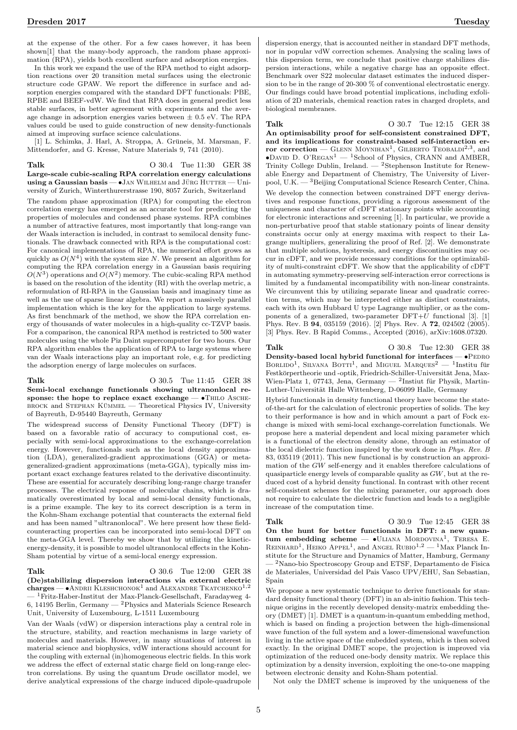at the expense of the other. For a few cases however, it has been shown[1] that the many-body approach, the random phase approximation (RPA), yields both excellent surface and adsorption energies.

In this work we expand the use of the RPA method to eight adsorption reactions over 20 transition metal surfaces using the electronic structure code GPAW. We report the difference in surface and adsorption energies compared with the standard DFT functionals: PBE, RPBE and BEEF-vdW. We find that RPA does in general predict less stable surfaces, in better agreement with experiments and the average change in adsorption energies varies between  $\pm$  0.5 eV. The RPA values could be used to guide construction of new density-functionals aimed at improving surface science calculations.

[1] L. Schimka, J. Harl, A. Stroppa, A. Gruneis, M. Marsman, F. ¨ Mittendorfer, and G. Kresse, Nature Materials 9, 741 (2010).

Talk 0 30.4 Tue 11:30 GER 38 Large-scale cubic-scaling RPA correlation energy calculations using a Gaussian basis  $\bullet$  JAN WILHELM and JÜRG HUTTER  $-$  University of Zurich, Winterthurerstrasse 190, 8057 Zurich, Switzerland

The random phase approximation (RPA) for computing the electron correlation energy has emerged as an accurate tool for predicting the properties of molecules and condensed phase systems. RPA combines a number of attractive features, most importantly that long-range van der Waals interaction is included, in contrast to semilocal density functionals. The drawback connected with RPA is the computational cost: For canonical implementations of RPA, the numerical effort grows as quickly as  $O(N^4)$  with the system size N. We present an algorithm for computing the RPA correlation energy in a Gaussian basis requiring  $O(N^3)$  operations and  $O(N^2)$  memory. The cubic-scaling RPA method is based on the resolution of the identity (RI) with the overlap metric, a reformulation of RI-RPA in the Gaussian basis and imaginary time as well as the use of sparse linear algebra. We report a massively parallel implementation which is the key for the application to large systems. As first benchmark of the method, we show the RPA correlation energy of thousands of water molecules in a high-quality cc-TZVP basis. For a comparison, the canonical RPA method is restricted to 500 water molecules using the whole Piz Daint supercomputer for two hours. Our RPA algorithm enables the application of RPA to large systems where van der Waals interactions play an important role, e.g. for predicting the adsorption energy of large molecules on surfaces.

Talk 0 30.5 Tue 11:45 GER 38 Semi-local exchange functionals showing ultranonlocal response: the hope to replace exact exchange —  $\bullet$ THILO ASCHE-BROCK and STEPHAN KÜMMEL — Theoretical Physics IV, University of Bayreuth, D-95440 Bayreuth, Germany

The widespread success of Density Functional Theory (DFT) is based on a favorable ratio of accuracy to computional cost, especially with semi-local approximations to the exchange-correlation energy. However, functionals such as the local density approximation (LDA), generalized-gradient approximations (GGA) or metageneralized-gradient approximations (meta-GGA), typically miss important exact exchange features related to the derivative discontinuity. These are essential for accurately describing long-range charge transfer processes. The electrical response of molecular chains, which is dramatically overestimated by local and semi-local density functionals, is a prime example. The key to its correct description is a term in the Kohn-Sham exchange potential that counteracts the external field and has been named "ultranonlocal". We here present how these fieldcounteracting properties can be incorporated into semi-local DFT on the meta-GGA level. Thereby we show that by utilizing the kineticenergy-density, it is possible to model ultranonlocal effects in the Kohn-Sham potential by virtue of a semi-local energy expression.

# Talk 0 30.6 Tue 12:00 GER 38

(De)stabilizing dispersion interactions via external electric  ${\bf charges}\longrightarrow {\bf A}$ NDRII $\bar{{\rm K}}$ LESHCHONOK $^1$  and ALEXANDRE TKATCHENKO $^{1,2}$ — <sup>1</sup>Fritz-Haber-Institut der Max-Planck-Gesellschaft, Faradayweg 4- 6, 14195 Berlin, Germany — <sup>2</sup>Physics and Materials Science Research Unit, University of Luxembourg, L-1511 Luxembourg

Van der Waals (vdW) or dispersion interactions play a central role in the structure, stability, and reaction mechanisms in large variety of molecules and materials. However, in many situations of interest in material science and biophysics, vdW interactions should account for the coupling with external (in)homogeneous electric fields. In this work we address the effect of external static charge field on long-range electron correlations. By using the quantum Drude oscillator model, we derive analytical expressions of the charge induced dipole-quadrupole

dispersion energy, that is accounted neither in standard DFT methods, nor in popular vdW correction schemes. Analysing the scaling laws of this dispersion term, we conclude that positive charge stabilizes dispersion interactions, while a negative charge has an opposite effect. Benchmark over S22 molecular dataset estimates the induced dispersion to be in the range of 20-300 % of conventional electrostatic energy. Our findings could have broad potential implications, including exfoliation of 2D materials, chemical reaction rates in charged droplets, and biological membranes.

Talk 0 30.7 Tue 12:15 GER 38

An optimisability proof for self-consistent constrained DFT, and its implications for constraint-based self-interaction error correction — GLENN MOYNIHAN<sup>1</sup>, GILBERTO TEOBALDI<sup>2,3</sup>, and •David D. O'Regan<sup>1</sup> — <sup>1</sup>School of Physics, CRANN and AMBER, Trinity College Dublin, Ireland. — <sup>2</sup>Stephenson Institute for Renewable Energy and Department of Chemistry, The University of Liverpool, U.K. — <sup>3</sup>Beijing Computational Science Research Center, China. We develop the connection between constrained DFT energy derivatives and response functions, providing a rigorous assessment of the uniqueness and character of cDFT stationary points while accounting for electronic interactions and screening [1]. In particular, we provide a non-perturbative proof that stable stationary points of linear density constraints occur only at energy maxima with respect to their Lagrange multipliers, generalizing the proof of Ref. [2]. We demonstrate that multiple solutions, hysteresis, and energy discontinuities may occur in cDFT, and we provide necessary conditions for the optimizability of multi-constraint cDFT. We show that the applicability of cDFT in automating symmetry-preserving self-interaction error corrections is limited by a fundamental incompatibility with non-linear constraints. We circumvent this by utilizing separate linear and quadratic correction terms, which may be interpreted either as distinct constraints, each with its own Hubbard U type Lagrange multiplier, or as the components of a generalized, two-parameter  $DFT+U$  functional [3]. [1] Phys. Rev. B 94, 035159 (2016). [2] Phys. Rev. A 72, 024502 (2005). [3] Phys. Rev. B Rapid Comms., Accepted (2016), arXiv:1608.07320.

Talk **O** 30.8 Tue 12:30 GER 38 Density-based local hybrid functional for interfaces  $\bullet$ PEDRO BORLIDO<sup>1</sup>, SILVANA BOTTI<sup>1</sup>, and MIGUEL MARQUES<sup>2</sup> — <sup>1</sup>Institu fur Festkörpertheorie und -optik, Friedrich-Schiller-Universität Jena, Max-Wien-Platz 1, 07743, Jena, Germany — <sup>2</sup>Instiut für Physik, Martin-Luther-Universität Halle Wittenberg, D-06099 Halle, Germany

Hybrid functionals in density functional theory have become the stateof-the-art for the calculation of electronic properties of solids. The key to their performance is how and in which amount a part of Fock exchange is mixed with semi-local exchange-correlation functionals. We propose here a material dependent and local mixing parameter which is a functional of the electron density alone, through an estimator of the local dielectric function inspired by the work done in Phys. Rev. B 83, 035119 (2011). This new functional is by construction an approximation of the  $GW$  self-energy and it enables therefore calculations of quasiparticle energy levels of comparable quality as GW, but at the reduced cost of a hybrid density functional. In contrast with other recent self-consistent schemes for the mixing parameter, our approach does not require to calculate the dielectric function and leads to a negligible increase of the computation time.

Talk O 30.9 Tue 12:45 GER 38 On the hunt for better functionals in DFT: a new quantum embedding scheme  $\bullet$ ULIANA MORDOVINA<sup>1</sup>, TERESA E. REINHARD<sup>1</sup>, HEIKO APPEL<sup>1</sup>, and ANGEL RUBIO<sup>1,2</sup> — <sup>1</sup>Max Planck Institute for the Structure and Dynamics of Matter, Hamburg, Germany — <sup>2</sup>Nano-bio Spectroscopy Group and ETSF, Departamento de Fisica de Materiales, Universidad del Pais Vasco UPV/EHU, San Sebastian, Spain

We propose a new systematic technique to derive functionals for standard density functional theory (DFT) in an ab-initio fashion. This technique origins in the recently developed density-matrix embedding theory (DMET) [1]. DMET is a quantum-in-quantum embedding method, which is based on finding a projection between the high-dimensional wave function of the full system and a lower-dimensional wavefunction living in the active space of the embedded system, which is then solved exactly. In the original DMET scope, the projection is improved via optimization of the reduced one-body density matrix. We replace this optimization by a density inversion, exploiting the one-to-one mapping between electronic density and Kohn-Sham potential.

Not only the DMET scheme is improved by the uniqueness of the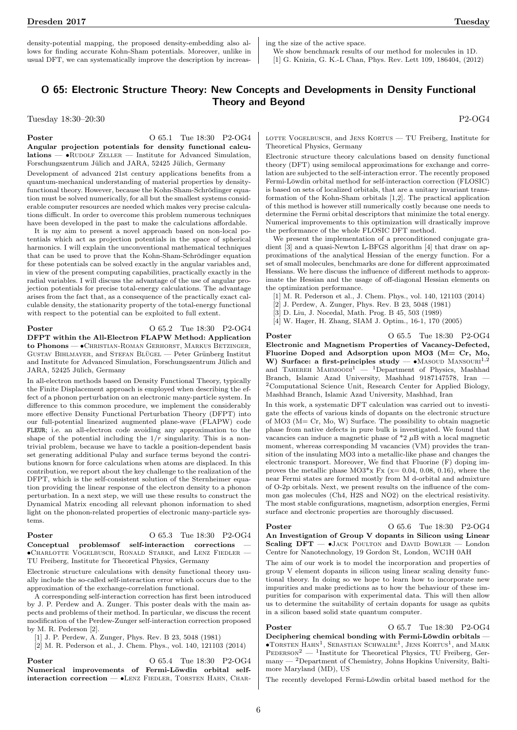Dresden 2017 Tuesday

density-potential mapping, the proposed density-embedding also allows for finding accurate Kohn-Sham potentials. Moreover, unlike in usual DFT, we can systematically improve the description by increasing the size of the active space.

We show benchmark results of our method for molecules in 1D. [1] G. Knizia, G. K.-L Chan, Phys. Rev. Lett 109, 186404, (2012)

## O 65: Electronic Structure Theory: New Concepts and Developments in Density Functional Theory and Beyond

Tuesday 18:30–20:30 P2-OG4

**Poster** 0 65.1 Tue 18:30 P2-OG4 Angular projection potentials for density functional calcu $lations - \bullet$ RUDOLF ZELLER — Institute for Advanced Simulation, Forschungszentrum Jülich and JARA, 52425 Jülich, Germany

Development of advanced 21st century applications benefits from a quantum-mechanical understanding of material properties by densityfunctional theory. However, because the Kohn-Sham-Schrödinger equation must be solved numerically, for all but the smallest systems considerable computer resources are needed which makes very precise calculations difficult. In order to overcome this problem numerous techniques have been developed in the past to make the calculations affordable.

It is my aim to present a novel approach based on non-local potentials which act as projection potentials in the space of spherical harmonics. I will explain the unconventional mathematical techniques that can be used to prove that the Kohn-Sham-Schrödinger equation for these potentials can be solved exactly in the angular variables and, in view of the present computing capabilities, practically exactly in the radial variables. I will discuss the advantage of the use of angular projection potentials for precise total-energy calculations. The advantage arises from the fact that, as a consequence of the practically exact calculable density, the stationarity property of the total-energy functional with respect to the potential can be exploited to full extent.

# **Poster** 0 65.2 Tue 18:30 P2-OG4

DFPT within the All-Electron FLAPW Method: Application to Phonons — • CHRISTIAN-ROMAN GERHORST, MARKUS BETZINGER, GUSTAV BIHLMAYER, and STEFAN BLÜGEL — Peter Grünberg Institut and Institute for Advanced Simulation, Forschungszentrum Jülich and JARA, 52425 Jülich, Germany

In all-electron methods based on Density Functional Theory, typically the Finite Displacement approach is employed when describing the effect of a phonon perturbation on an electronic many-particle system. In difference to this common procedure, we implement the considerably more effective Density Functional Perturbation Theory (DFPT) into our full-potential linearized augmented plane-wave (FLAPW) code FLEUR; i.e. an all-electron code avoiding any approximation to the shape of the potential including the  $1/r$  singularity. This is a nontrivial problem, because we have to tackle a position-dependent basis set generating additional Pulay and surface terms beyond the contributions known for force calculations when atoms are displaced. In this contribution, we report about the key challenge to the realization of the DFPT, which is the self-consistent solution of the Sternheimer equation providing the linear response of the electron density to a phonon perturbation. In a next step, we will use these results to construct the Dynamical Matrix encoding all relevant phonon information to shed light on the phonon-related properties of electronic many-particle systems.

### Poster O 65.3 Tue 18:30 P2-OG4

Conceptual problemsof self-interaction corrections — •Charlotte Vogelbusch, Ronald Starke, and Lenz Fiedler — TU Freiberg, Institute for Theoretical Physics, Germany

Electronic structure calculations with density functional theory usually include the so-called self-interaction error which occurs due to the approximation of the exchange-correlation functional.

A corresponding self-interaction correction has first been introduced by J. P. Perdew and A. Zunger. This poster deals with the main aspects and problems of their method. In particular, we discuss the recent modification of the Perdew-Zunger self-interaction correction proposed by M. R. Pederson [2].

[1] J. P. Perdew, A. Zunger, Phys. Rev. B 23, 5048 (1981)

[2] M. R. Pederson et al., J. Chem. Phys., vol. 140, 121103 (2014)

Poster O 65.4 Tue 18:30 P2-OG4 Numerical improvements of Fermi-Löwdin orbital selfinteraction correction - •LENZ FIEDLER, TORSTEN HAHN, CHAR-

LOTTE VOGELBUSCH, and JENS KORTUS - TU Freiberg, Institute for Theoretical Physics, Germany

Electronic structure theory calculations based on density functional theory (DFT) using semilocal approximations for exchange and correlation are subjected to the self-interaction error. The recently proposed Fermi-Löwdin orbital method for self-interaction correction (FLOSIC) is based on sets of localized orbitals, that are a unitary invariant transformation of the Kohn-Sham orbitals [1,2]. The practical application of this method is however still numerically costly because one needs to determine the Fermi orbital descriptors that minimize the total energy. Numerical improvements to this optimization will drastically improve the performance of the whole FLOSIC DFT method.

We present the implementation of a preconditioned conjugate gradient [3] and a quasi-Newton L-BFGS algorithm [4] that draw on approximations of the analytical Hessian of the energy function. For a set of small molecules, benchmarks are done for different approximated Hessians. We here discuss the influence of different methods to approximate the Hessian and the usage of off-diagonal Hessian elements on the optimization performance.

- [1] M. R. Pederson et al., J. Chem. Phys., vol. 140, 121103 (2014)
- [2] J. Perdew, A. Zunger, Phys. Rev. B 23, 5048 (1981)
- [3] D. Liu, J. Nocedal, Math. Prog. B 45, 503 (1989)
- [4] W. Hager, H. Zhang, SIAM J. Optim., 16-1, 170 (2005)

**Poster** 0 65.5 Tue 18:30 P2-OG4 Electronic and Magnetism Properties of Vacancy-Defected, Fluorine Doped and Adsorption upon MO3 (M= Cr, Mo, W) Surface: a first-principles study  $- \cdot$  Masoud Mansouri<sup>1,2</sup> and TAHEREH MAHMOODI<sup>1</sup>  $-$  <sup>1</sup>Department of Physics, Mashhad Branch, Islamic Azad University, Mashhad 9187147578, Iran — <sup>2</sup>Computational Science Unit, Research Center for Applied Biology, Mashhad Branch, Islamic Azad University, Mashhad, Iran

In this work, a systematic DFT calculation was carried out to investigate the effects of various kinds of dopants on the electronic structure of MO3 (M= Cr, Mo, W) Surface. The possibility to obtain magnetic phase from native defects in pure bulk is investigated. We found that vacancies can induce a magnetic phase of  $*2 \mu B$  with a local magnetic moment, whereas corresponding M vacancies (VM) provides the transition of the insulating MO3 into a metallic-like phase and changes the electronic transport. Moreover, We find that Fluorine (F) doping improves the metallic phase  $MO3*_{X}$  Fx ( $x= 0.04, 0.08, 0.16$ ), where the near Fermi states are formed mostly from M d-orbital and admixture of O-2p orbitals. Next, we present results on the influence of the common gas molecules (Ch4, H2S and NO2) on the electrical resistivity. The most stable configurations, magnetism, adsorption energies, Fermi surface and electronic properties are thoroughly discussed.

Poster O 65.6 Tue 18:30 P2-OG4 An Investigation of Group V dopants in Silicon using Linear Scaling DFT -  $\bullet$  JACK POULTON and DAVID BOWLER - London Centre for Nanotechnology, 19 Gordon St, London, WC1H 0AH

The aim of our work is to model the incorporation and properties of group V element dopants in silicon using linear scaling density functional theory. In doing so we hope to learn how to incorporate new impurities and make predictions as to how the behaviour of these impurities for comparison with experimental data. This will then allow us to determine the suitability of certain dopants for usage as qubits in a silicon based solid state quantum computer.

**Poster** 0 65.7 Tue 18:30 P2-OG4 Deciphering chemical bonding with Fermi-Löwdin orbitals —  $\bullet$ TORSTEN HAHN<sup>1</sup>, SEBASTIAN SCHWALBE<sup>1</sup>, JENS KORTUS<sup>1</sup>, and MARK  $PEDERSON<sup>2</sup>$  — <sup>1</sup>Institute for Theoretical Physics, TU Freiberg, Germany — <sup>2</sup>Department of Chemistry, Johns Hopkins University, Baltimore Maryland (MD), US

The recently developed Fermi-Löwdin orbital based method for the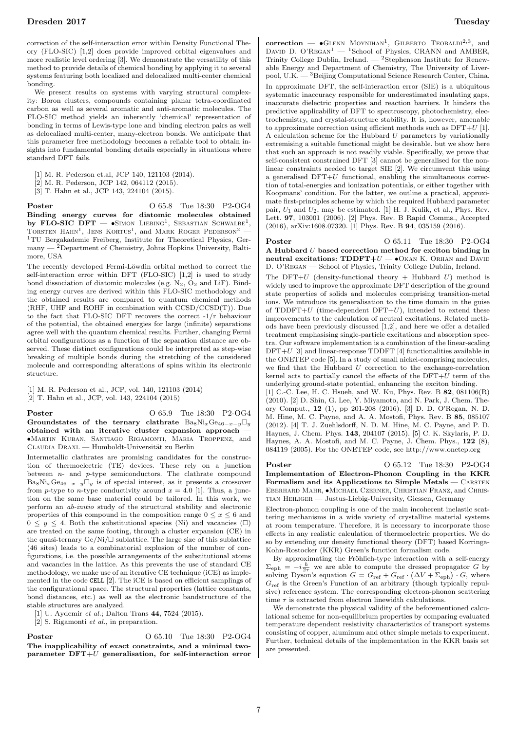correction of the self-interaction error within Density Functional Theory (FLO-SIC) [1,2] does provide improved orbital eigenvalues and more realistic level ordering [3]. We demonstrate the versatility of this method to provide details of chemical bonding by applying it to several systems featuring both localized and delocalized multi-center chemical bonding.

We present results on systems with varying structural complexity: Boron clusters, compounds containing planar tetra-coordinated carbon as well as several aromatic and anti-aromatic molecules. The FLO-SIC method yields an inherently 'chemical' representation of bonding in terms of Lewis-type lone and binding electron pairs as well as delocalized multi-center, many-electron bonds. We anticipate that this parameter free methodology becomes a reliable tool to obtain insights into fundamental bonding details especially in situations where standard DFT fails.

- [1] M. R. Pederson et.al, JCP 140, 121103 (2014).
- [2] M. R. Pederson, JCP 142, 064112 (2015).
- [3] T. Hahn et al., JCP 143, 224104 (2015).

Poster O 65.8 Tue 18:30 P2-OG4 Binding energy curves for diatomic molecules obtained by FLO-SIC DFT  $\bullet$ Simon Liebing<sup>1</sup>, Sebastian Schwalbe<sup>1</sup>, TORSTEN  $\text{HAHN}^1$ , JENS KORTUS<sup>1</sup>, and MARK ROGER PEDERSON<sup>2</sup> – <sup>1</sup>TU Bergakademie Freiberg, Institute for Theoretical Physics, Germany — <sup>2</sup>Department of Chemistry, Johns Hopkins University, Baltimore, USA

The recently developed Fermi-Löwdin orbital method to correct the self-interaction error within DFT (FLO-SIC) [1,2] is used to study bond dissociation of diatomic molecules (e.g.  $N_2$ ,  $O_2$  and LiF). Binding energy curves are derived within this FLO-SIC methodology and the obtained results are compared to quantum chemical methods (RHF, UHF and ROHF in combination with CCSD/CCSD(T)). Due to the fact that FLO-SIC DFT recovers the correct -1/r behaviour of the potential, the obtained energies for large (infinite) separations agree well with the quantum chemical results. Further, changing Fermi orbital configurations as a function of the separation distance are observed. These distinct configurations could be interpreted as step-wise breaking of multiple bonds during the stretching of the considered molecule and corresponding alterations of spins within its electronic structure.

[1] M. R. Pederson et al., JCP, vol. 140, 121103 (2014) [2] T. Hahn et al., JCP, vol. 143, 224104 (2015)

**Poster** 0 65.9 Tue 18:30 P2-OG4 Groundstates of the ternary clathrate Ba<sub>8</sub>Ni<sub>x</sub>Ge<sub>46-x-y</sub> $\Box$ y obtained with an iterative cluster expansion approach — •Martin Kuban, Santiago Rigamonti, Maria Troppenz, and

CLAUDIA DRAXL — Humboldt-Universität zu Berlin Intermetallic clathrates are promising candidates for the construction of thermoelectric (TE) devices. These rely on a junction between  $n-$  and  $p$ -type semiconductors. The clathrate compound Ba<sub>8</sub>Ni<sub>x</sub>Ge<sub>46−x−y</sub> $\overline{\cup}_y$  is of special interest, as it presents a crossover from p-type to n-type conductivity around  $x = 4.0$  [1]. Thus, a junction on the same base material could be tailored. In this work, we perform an ab-initio study of the structural stability and electronic properties of this compound in the composition range  $0 \leq x \leq 6$  and  $0 \leq y \leq 4$ . Both the substitutional species (Ni) and vacancies ( $\square$ ) are treated on the same footing, through a cluster expansion (CE) in the quasi-ternary  $\text{Ge/Ni}/\square$  sublattice. The large size of this sublattice (46 sites) leads to a combinatorial explosion of the number of configurations, i.e. the possible arrangements of the substitutional atoms and vacancies in the lattice. As this prevents the use of standard CE methodology, we make use of an iterative CE technique (iCE) as implemented in the code CELL [2]. The iCE is based on efficient samplings of the configurational space. The structural properties (lattice constants, bond distances, etc.) as well as the electronic bandstructure of the stable structures are analyzed.

[1] U. Aydemir et al.; Dalton Trans 44, 7524 (2015).

[2] S. Rigamonti et al., in preparation.

**Poster** 0 65.10 Tue 18:30 P2-OG4 The inapplicability of exact constraints, and a minimal twoparameter  $DFT+U$  generalisation, for self-interaction error

correction —  $\bullet$  GLENN MOYNIHAN<sup>1</sup>, GILBERTO TEOBALDI<sup>2,3</sup>, and DAVID D. O'REGAN<sup>1</sup> — <sup>1</sup>School of Physics, CRANN and AMBER, Trinity College Dublin, Ireland. —  ${}^{2}$ Stephenson Institute for Renewable Energy and Department of Chemistry, The University of Liverpool, U.K. —  $^3$ Beijing Computational Science Research Center, China. In approximate DFT, the self-interaction error (SIE) is a ubiquitous systematic inaccuracy responsible for underestimated insulating gaps, inaccurate dielectric properties and reaction barriers. It hinders the predictive applicability of DFT to spectroscopy, photochemistry, electrochemistry, and crystal-structure stability. It is, however, amenable to approximate correction using efficient methods such as  $DFT+U$  [1]. A calculation scheme for the Hubbard  $U$  parameters by variationally extremising a suitable functional might be desirable. but we show here that such an approach is not readily viable. Specifically, we prove that self-consistent constrained DFT [3] cannot be generalised for the nonlinear constraints needed to target SIE [2]. We circumvent this using a generalised  $DFT+U$  functional, enabling the simultaneous correction of total-energies and ionization potentials, or either together with Koopmans' condition. For the latter, we outline a practical, approximate first-principles scheme by which the required Hubbard parameter pair,  $U_1$  and  $U_2$ , may be estimated. [1] H. J. Kulik, et al., Phys. Rev. Lett. 97, 103001 (2006). [2] Phys. Rev. B Rapid Comms., Accepted (2016), arXiv:1608.07320. [1] Phys. Rev. B 94, 035159 (2016).

Poster O 65.11 Tue 18:30 P2-OG4 A Hubbard U based correction method for exciton binding in neutral excitations:  $TDDFT+U - OKAN K$ . ORHAN and DAVID D. O'Regan — School of Physics, Trinity College Dublin, Ireland.

The DFT+U (density-functional theory + Hubbard U) method is widely used to improve the approximate DFT description of the ground state properties of solids and molecules comprising transition-metal ions. We introduce its generalisation to the time domain in the guise of  $TDDFT+U$  (time-dependent  $DFT+U$ ), intended to extend these improvements to the calculation of neutral excitations. Related methods have been previously discussed [1,2], and here we offer a detailed treatment emphasising single-particle excitations and absorption spectra. Our software implementation is a combination of the linear-scaling  $DFT+U$  [3] and linear-response TDDFT [4] functionalities available in the ONETEP code [5]. In a study of small nickel-comprising molecules, we find that the Hubbard U correction to the exchange-correlation kernel acts to partially cancel the effects of the  $\text{DFT}+\bar{U}$  term of the underlying ground-state potential, enhancing the exciton binding.

[1] C.-C. Lee, H. C. Hsueh, and W. Ku, Phys. Rev. B 82, 081106(R) (2010). [2] D. Shin, G. Lee, Y. Miyamoto, and N. Park, J. Chem. Theory Comput., 12 (1), pp 201-208 (2016). [3] D. D. O'Regan, N. D. M. Hine, M. C. Payne, and A. A. Mostofi, Phys. Rev. B 85, 085107 (2012). [4] T. J. Zuehlsdorff, N. D. M. Hine, M. C. Payne, and P. D. Haynes, J. Chem. Phys. 143, 204107 (2015). [5] C. K. Skylaris, P. D. Haynes, A. A. Mostofi, and M. C. Payne, J. Chem. Phys., 122 (8), 084119 (2005). For the ONETEP code, see http://www.onetep.org

**Poster** 0 65.12 Tue 18:30 P2-OG4 Implementation of Electron-Phonon Coupling in the KKR Formalism and its Applications to Simple Metals – CARSTEN Eberhard Mahr, •Michael Czerner, Christian Franz, and Christian Heiliger — Justus-Liebig-University, Giessen, Germany

Electron-phonon coupling is one of the main incoherent inelastic scattering mechanisms in a wide variety of crystalline material systems at room temperature. Therefore, it is necessary to incorporate those effects in any realistic calculation of thermoelectric properties. We do so by extending our density functional theory (DFT) based Korringa-Kohn-Rostocker (KKR) Green's function formalism code.

By approximating the Fröhlich-type interaction with a self-energy  $\Sigma_{\text{eph}} = -i\frac{\hbar}{2\tau}$  we are able to compute the dressed propagator G by solving Dyson's equation  $G = G_{\text{ref}} + G_{\text{ref}} \cdot (\Delta V + \Sigma_{\text{eph}}) \cdot G$ , where  $G_{\text{ref}}$  is the Green's Function of an arbitrary (though typically repulsive) reference system. The corresponding electron-phonon scattering time  $\tau$  is extracted from electron linewidth calculations.

We demonstrate the physical validity of the beforementioned calculational scheme for non-equilibrium properties by comparing evaluated temperature dependent resistivity characteristics of transport systems consisting of copper, aluminum and other simple metals to experiment. Further, technical details of the implementation in the KKR basis set are presented.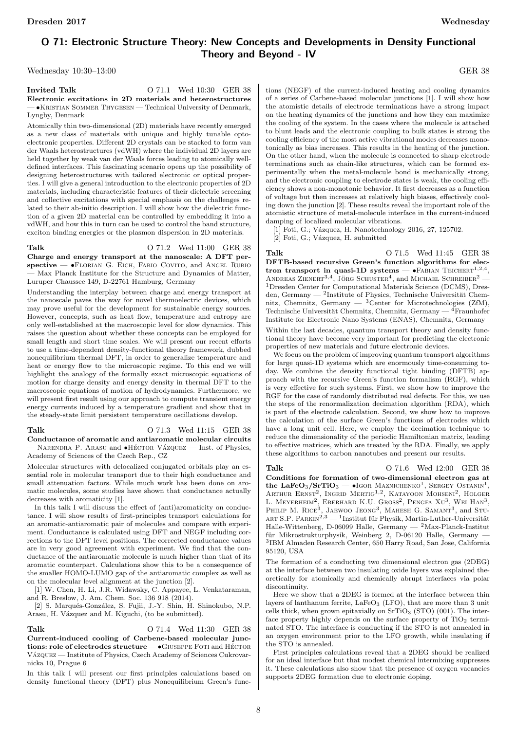# O 71: Electronic Structure Theory: New Concepts and Developments in Density Functional Theory and Beyond - IV

Wednesday 10:30–13:00 GER 38

**Invited Talk O** 71.1 Wed 10:30 GER 38 Electronic excitations in 2D materials and heterostructures — •Kristian Sommer Thygesen — Technical University of Denmark, Lyngby, Denmark

Atomically thin two-dimensional (2D) materials have recently emerged as a new class of materials with unique and highly tunable optoelectronic properties. Different 2D crystals can be stacked to form van der Waals heterostructures (vdWH) where the individual 2D layers are held together by weak van der Waals forces leading to atomically welldefined interfaces. This fascinating scenario opens up the possibility of designing heterostructures with tailored electronic or optical properties. I will give a general introduction to the electronic properties of 2D materials, including characteristic features of their dielectric screening and collective excitations with special emphasis on the challenges related to their ab-initio description. I will show how the dielectric function of a given 2D material can be controlled by embedding it into a vdWH, and how this in turn can be used to control the band structure, exciton binding energies or the plasmon dispersion in 2D materials.

Talk O 71.2 Wed 11:00 GER 38 Charge and energy transport at the nanoscale: A DFT perspective — •FLORIAN G. EICH, FABIO COVITO, and ANGEL RUBIO — Max Planck Institute for the Structure and Dynamics of Matter, Luruper Chaussee 149, D-22761 Hamburg, Germany

Understanding the interplay between charge and energy transport at the nanoscale paves the way for novel thermoelectric devices, which may prove useful for the development for sustainable energy sources. However, concepts, such as heat flow, temperature and entropy are only well-established at the macroscopic level for slow dynamics. This raises the question about whether these concepts can be employed for small length and short time scales. We will present our recent efforts to use a time-dependent density-functional theory framework, dubbed nonequilibrium thermal DFT, in order to generalize temperature and heat or energy flow to the microscopic regime. To this end we will highlight the analogy of the formally exact microscopic equations of motion for charge density and energy density in thermal DFT to the macroscopic equations of motion of hydrodynamics. Furthermore, we will present first result using our approach to compute transient energy energy currents induced by a temperature gradient and show that in the steady-state limit persistent temperature oscillations develop.

### Talk **O 71.3** Wed 11:15 GER 38

Conductance of aromatic and antiaromatic molecular circuits  $-$  NARENDRA P. ARASU and  $\bullet$ HÉCTOR VÁZQUEZ — Inst. of Physics, Academy of Sciences of the Czech Rep., CZ

Molecular structures with delocalized conjugated orbitals play an essential role in molecular transport due to their high conductance and small attenuation factors. While much work has been done on aromatic molecules, some studies have shown that conductance actually decreases with aromaticity [1].

In this talk I will discuss the effect of (anti)aromaticity on conductance. I will show results of first-principles transport calculations for an aromatic-antiaromatic pair of molecules and compare with experiment. Conductance is calculated using DFT and NEGF including corrections to the DFT level positions. The corrected conductance values are in very good agreement with experiment. We find that the conductance of the antiaromatic molecule is much higher than that of its aromatic counterpart. Calculations show this to be a consequence of the smaller HOMO-LUMO gap of the antiaromatic complex as well as on the molecular level alignment at the junction [2].

[1] W. Chen, H. Li, J.R. Widawsky, C. Appayee, L. Venkataraman, and R. Breslow, J. Am. Chem. Soc. 136 918 (2014).

[2] S. Marqués-González, S. Fujii, J.-Y. Shin, H. Shinokubo, N.P. Arasu, H. Vázquez and M. Kiguchi, (to be submitted).

### Talk **O** 71.4 Wed 11:30 GER 38

Current-induced cooling of Carbene-based molecular junctions: role of electrodes structure  $\bullet$  GIUSEPPE FOTI and HÉCTOR VÁZQUEZ — Institute of Physics, Czech Academy of Sciences Cukrovarnicka 10, Prague 6

In this talk I will present our first principles calculations based on density functional theory (DFT) plus Nonequilibrium Green's functions (NEGF) of the current-induced heating and cooling dynamics of a series of Carbene-based molecular junctions [1]. I will show how the atomistic details of electrode terminations have a strong impact on the heating dynamics of the junctions and how they can maximize the cooling of the system. In the cases where the molecule is attached to blunt leads and the electronic coupling to bulk states is strong the cooling efficiency of the most active vibrational modes decreases monotonically as bias increases. This results in the heating of the junction. On the other hand, when the molecule is connected to sharp electrode terminations such as chain-like structures, which can be formed experimentally when the metal-molecule bond is mechanically strong, and the electronic coupling to electrode states is weak, the cooling efficiency shows a non-monotonic behavior. It first decreases as a function of voltage but then increases at relatively high biases, effectively cooling down the junction [2]. These results reveal the important role of the atomistic structure of metal-molecule interface in the current-induced damping of localized molecular vibrations.

[1] Foti, G.; Vázquez, H. Nanotechnology 2016, 27, 125702.

[2] Foti, G.; Vázquez, H. submitted

Talk 0 71.5 Wed 11:45 GER 38 DFTB-based recursive Green's function algorithms for electron transport in quasi-1D systems  $-$  •FABIAN TEICHERT<sup>1,2,4</sup>, ANDREAS ZIENERT<sup>3,4</sup>, JÖRG SCHUSTER<sup>4</sup>, and MICHAEL SCHREIBER<sup>2</sup> — <sup>1</sup>Dresden Center for Computational Materials Science (DCMS), Dresden, Germany — <sup>2</sup>Institute of Physics, Technische Universität Chemnitz, Chemnitz, Germany — <sup>3</sup>Center for Microtechnologies (ZfM), Technische Universität Chemnitz, Chemnitz, Germany —  ${}^{4}$ Fraunhofer Institute for Electronic Nano Systems (ENAS), Chemnitz, Germany

Within the last decades, quantum transport theory and density functional theory have become very important for predicting the electronic properties of new materials and future electronic devices.

We focus on the problem of improving quantum transport algorithms for large quasi-1D systems which are enormously time-consuming today. We combine the density functional tight binding (DFTB) approach with the recursive Green's function formalism (RGF), which is very effective for such systems. First, we show how to improve the RGF for the case of randomly distributed real defects. For this, we use the steps of the renormalization decimation algorithm (RDA), which is part of the electrode calculation. Second, we show how to improve the calculation of the surface Green's functions of electrodes which have a long unit cell. Here, we employ the decimation technique to reduce the dimensionality of the periodic Hamiltonian matrix, leading to effective matrices, which are treated by the RDA. Finally, we apply these algorithms to carbon nanotubes and present our results.

Talk 0 71.6 Wed 12:00 GER 38 Conditions for formation of two-dimensional electron gas at the LaFeO<sub>3</sub>/SrTiO<sub>3</sub>  $-$  •Igor Maznichenko<sup>1</sup>, Sergey Ostanin<sup>1</sup>, ARTHUR ERNST<sup>2</sup>, INGRID MERTIG<sup>1,2</sup>, KATAYOON MOHSENI<sup>2</sup>, HOLGER L. MEYERHEIM<sup>2</sup>, EBERHARD K.U. GROSS<sup>2</sup>, PENGFA XU<sup>3</sup>, WEI HAN<sup>3</sup>, PHILIP M. RICE<sup>3</sup>, JAEWOO JEONG<sup>3</sup>, MAHESH G. SAMANT<sup>3</sup>, and STU-ART S.P. PARKIN<sup>2,3</sup> — <sup>1</sup>Institut für Physik, Martin-Luther-Universität Halle-Wittenberg, D-06099 Halle, Germany — <sup>2</sup>Max-Planck-Institut für Mikrostrukturphysik, Weinberg 2, D-06120 Halle, Germany 3 IBM Almaden Research Center, 650 Harry Road, San Jose, California 95120, USA

The formation of a conducting two dimensional electron gas (2DEG) at the interface between two insulating oxide layers was explained theoretically for atomically and chemically abrupt interfaces via polar discontinuity.

Here we show that a 2DEG is formed at the interface between thin layers of lanthanum ferrite, LaFeO<sub>3</sub> (LFO), that are more than 3 unit cells thick, when grown epitaxially on  $SrTiO<sub>3</sub>$  (STO) (001). The interface property highly depends on the surface property of  $TiO<sub>2</sub>$  terminated STO. The interface is conducting if the STO is not annealed in an oxygen environment prior to the LFO growth, while insulating if the STO is annealed.

First principles calculations reveal that a 2DEG should be realized for an ideal interface but that modest chemical intermixing suppresses it. These calculations also show that the presence of oxygen vacancies supports 2DEG formation due to electronic doping.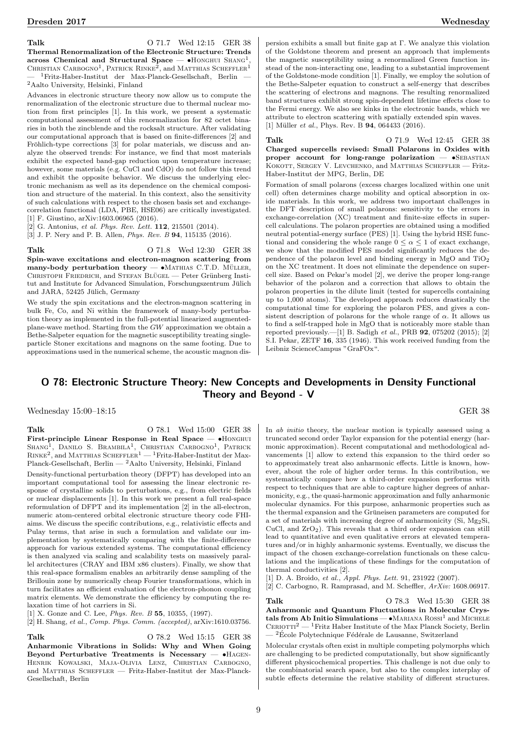Talk O 71.7 Wed 12:15 GER 38 Thermal Renormalization of the Electronic Structure: Trends

across Chemical and Structural Space  $\bullet$  Honghui Shang<sup>1</sup>, CHRISTIAN CARBOGNO<sup>1</sup>, PATRICK RINKE<sup>2</sup>, and MATTHIAS SCHEFFLER<sup>1</sup>  $1$ Fritz-Haber-Institut der Max-Planck-Gesellschaft, Berlin <sup>2</sup>Aalto University, Helsinki, Finland

Advances in electronic structure theory now allow us to compute the renormalization of the electronic structure due to thermal nuclear motion from first principles [1]. In this work, we present a systematic computational assessment of this renormalization for 82 octet binaries in both the zincblende and the rocksalt structure. After validating our computational approach that is based on finite-differences [2] and Fröhlich-type corrections [3] for polar materials, we discuss and analyze the observed trends: For instance, we find that most materials exhibit the expected band-gap reduction upon temperature increase; however, some materials (e.g. CuCl and CdO) do not follow this trend and exhibit the opposite behavior. We discuss the underlying electronic mechanism as well as its dependence on the chemical composition and structure of the material. In this context, also the sensitivity of such calculations with respect to the chosen basis set and exchangecorrelation functional (LDA, PBE, HSE06) are critically investigated. [1] F. Giustino, arXiv:1603.06965 (2016).

 $[2]$  G. Antonius, et al. Phys. Rev. Lett. **112**, 215501 (2014).

[3] J. P. Nery and P. B. Allen, Phys. Rev. B 94, 115135 (2016).

Talk O 71.8 Wed 12:30 GER 38 Spin-wave excitations and electron-magnon scattering from many-body perturbation theory  $- \bullet$  MATHIAS C.T.D. MÜLLER, CHRISTOPH FRIEDRICH, and STEFAN BLÜGEL — Peter Grünberg Institut and Institute for Advanced Simulation, Forschungszentrum Jülich and JARA, 52425 Jülich, Germany

We study the spin excitations and the electron-magnon scattering in bulk Fe, Co, and Ni within the framework of many-body perturbation theory as implemented in the full-potential linearized augmentedplane-wave method. Starting from the GW approximation we obtain a Bethe-Salpeter equation for the magnetic susceptibility treating singleparticle Stoner excitations and magnons on the same footing. Due to approximations used in the numerical scheme, the acoustic magnon dispersion exhibits a small but finite gap at Γ. We analyze this violation of the Goldstone theorem and present an approach that implements the magnetic susceptibility using a renormalized Green function instead of the non-interacting one, leading to a substantial improvement of the Goldstone-mode condition [1]. Finally, we employ the solution of the Bethe-Salpeter equation to construct a self-energy that describes the scattering of electrons and magnons. The resulting renormalized band structures exhibit strong spin-dependent lifetime effects close to the Fermi energy. We also see kinks in the electronic bands, which we attribute to electron scattering with spatially extended spin waves. [1] Müller *et al.*, Phys. Rev. B  $94$ , 064433 (2016).

Talk O 71.9 Wed 12:45 GER 38 Charged supercells revised: Small Polarons in Oxides with proper account for long-range polarization  $\bullet$ SEBASTIAN KOKOTT, SERGEY V. LEVCHENKO, and MATTHIAS SCHEFFLER - Fritz-Haber-Institut der MPG, Berlin, DE

Formation of small polarons (excess charges localized within one unit cell) often determines charge mobility and optical absorption in oxide materials. In this work, we address two important challenges in the DFT description of small polarons: sensitivity to the errors in exchange-correlation (XC) treatment and finite-size effects in supercell calculations. The polaron properties are obtained using a modified neutral potential-energy surface (PES) [1]. Using the hybrid HSE functional and considering the whole range  $0 \leq \alpha \leq 1$  of exact exchange, we show that the modified PES model significantly reduces the dependence of the polaron level and binding energy in MgO and TiO<sup>2</sup> on the XC treatment. It does not eliminate the dependence on supercell size. Based on Pekar's model [2], we derive the proper long-range behavior of the polaron and a correction that allows to obtain the polaron properties in the dilute limit (tested for supercells containing up to 1,000 atoms). The developed approach reduces drastically the computational time for exploring the polaron PES, and gives a consistent description of polarons for the whole range of  $\alpha$ . It allows us to find a self-trapped hole in MgO that is noticeably more stable than reported previously.—[1] B. Sadigh et al., PRB 92, 075202 (2015); [2] S.I. Pekar, ZETF 16, 335 (1946). This work received funding from the Leibniz ScienceCampus "GraFOx".

## O 78: Electronic Structure Theory: New Concepts and Developments in Density Functional Theory and Beyond - V

Wednesday 15:00–18:15 GER 38

Talk **O** 78.1 Wed 15:00 GER 38 First-principle Linear Response in Real Space — •Honghui SHANG<sup>1</sup>, DANILO S. BRAMBILA<sup>1</sup>, CHRISTIAN CARBOGNO<sup>1</sup>, PATRICK  $\rm RINE^{2},$  and MATTHIAS  $\rm SCHEFTEER^{1}$  —  $^{1}$  Fritz-Haber-Institut der Max-Planck-Gesellschaft, Berlin — <sup>2</sup>Aalto University, Helsinki, Finland

Density-functional perturbation theory (DFPT) has developed into an important computational tool for assessing the linear electronic response of crystalline solids to perturbations, e.g., from electric fields or nuclear displacements [1]. In this work we present a full real-space reformulation of DFPT and its implementation [2] in the all-electron, numeric atom-centered orbital electronic structure theory code FHIaims. We discuss the specific contributions, e.g., relativistic effects and Pulay terms, that arise in such a formulation and validate our implementation by systematically comparing with the finite-difference approach for various extended systems. The computational efficiency is then analyzed via scaling and scalability tests on massively parallel architectures (CRAY and IBM x86 clusters). Finally, we show that this real-space formalism enables an arbitrarily dense sampling of the Brillouin zone by numerically cheap Fourier transformations, which in turn facilitates an efficient evaluation of the electron-phonon coupling matrix elements. We demonstrate the efficiency by computing the relaxation time of hot carriers in Si.

[1] X. Gonze and C. Lee, *Phys. Rev. B* 55, 10355, (1997).

[2] H. Shang, et al., Comp. Phys. Comm. (accepted), arXiv:1610.03756.

Talk O 78.2 Wed 15:15 GER 38 Anharmonic Vibrations in Solids: Why and When Going Beyond Perturbative Treatments is Necessary  $\bullet$ HAGEN-Henrik Kowalski, Maja-Olivia Lenz, Christian Carbogno, and MATTHIAS SCHEFFLER — Fritz-Haber-Institut der Max-Planck-Gesellschaft, Berlin

In *ab initio* theory, the nuclear motion is typically assessed using a truncated second order Taylor expansion for the potential energy (harmonic approximation). Recent computational and methodological advancements [1] allow to extend this expansion to the third order so to approximately treat also anharmonic effects. Little is known, however, about the role of higher order terms. In this contribution, we systematically compare how a third-order expansion performs with respect to techniques that are able to capture higher degrees of anharmonicity, e.g., the quasi-harmonic approximation and fully anharmonic molecular dynamics. For this purpose, anharmonic properties such as the thermal expansion and the Grüneisen parameters are computed for a set of materials with increasing degree of anharmonicity (Si, Mg2Si, CuCl, and  $ZrO<sub>2</sub>$ ). This reveals that a third order expansion can still lead to quantitative and even qualitative errors at elevated temperatures and/or in highly anharmonic systems. Eventually, we discuss the impact of the chosen exchange-correlation functionals on these calculations and the implications of these findings for the computation of thermal conductivities [2].

[1] D. A. Broido, et al., Appl. Phys. Lett. 91, 231922 (2007).

[2] C. Carbogno, R. Ramprasad, and M. Scheffler, ArXiv: 1608.06917.

Talk **O** 78.3 Wed 15:30 GER 38 Anharmonic and Quantum Fluctuations in Molecular Crystals from Ab Initio Simulations  $-\bullet$  MARIANA  $Ross1}$  and MICHELE  $C$ ERIOTTI<sup>2</sup> — <sup>1</sup>Fritz Haber Institute of the Max Planck Society, Berlin  $\frac{126}{2}$ École Polytechnique Fédérale de Lausanne, Switzerland

Molecular crystals often exist in multiple competing polymorphs which are challenging to be predicted computationally, but show significantly different physicochemical properties. This challenge is not due only to the combinatorial search space, but also to the complex interplay of subtle effects determine the relative stability of different structures.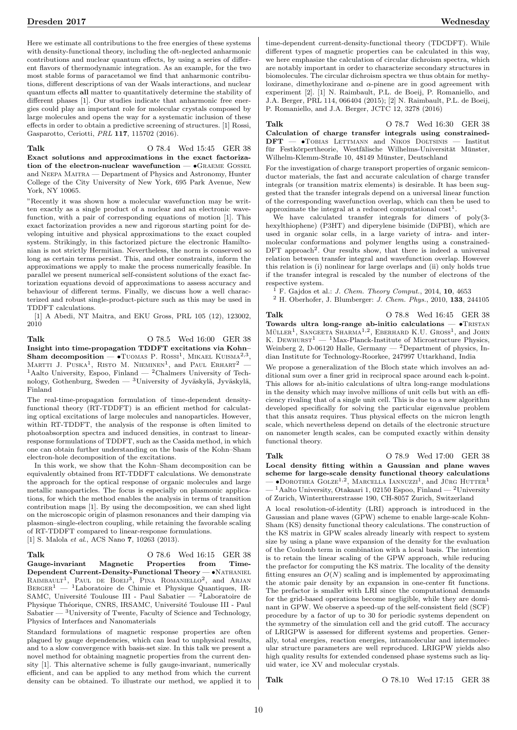Here we estimate all contributions to the free energies of these systems with density-functional theory, including the oft-neglected anharmonic contributions and nuclear quantum effects, by using a series of different flavors of thermodynamic integration. As an example, for the two most stable forms of paracetamol we find that anharmonic contributions, different descriptions of van der Waals interactions, and nuclear quantum effects all matter to quantitatively determine the stability of different phases [1]. Our studies indicate that anharmonic free energies could play an important role for molecular crystals composed by large molecules and opens the way for a systematic inclusion of these effects in order to obtain a predictive screening of structures. [1] Rossi, Gasparotto, Ceriotti, PRL 117, 115702 (2016).

Talk **C** 78.4 Wed 15:45 GER 38 Exact solutions and approximations in the exact factoriza-

tion of the electron-nuclear wavefunction —  $\bullet$ GRAEME GOSSEL and NEEPA MAITRA — Department of Physics and Astronomy, Hunter College of the City University of New York, 695 Park Avenue, New York, NY 10065.

"Recently it was shown how a molecular wavefunction may be written exactly as a single product of a nuclear and an electronic wavefunction, with a pair of corresponding equations of motion [1]. This exact factorization provides a new and rigorous starting point for developing intuitive and physical approximations to the exact coupled system. Strikingly, in this factorized picture the electronic Hamiltonian is not strictly Hermitian. Nevertheless, the norm is conserved so long as certain terms persist. This, and other constraints, inform the approximations we apply to make the process numerically feasible. In parallel we present numerical self-consistent solutions of the exact factorization equations devoid of approximations to assess accuracy and behaviour of different terms. Finally, we discuss how a well characterized and robust single-product-picture such as this may be used in TDDFT calculations.

[1] A Abedi, NT Maitra, and EKU Gross, PRL 105 (12), 123002, 2010

Talk O 78.5 Wed 16:00 GER 38

Insight into time-propagation TDDFT excitations via Kohn– Sham decomposition  $\bullet$  TUOMAS P. ROSSI<sup>1</sup>, MIKAEL KUISMA<sup>2,3</sup>, MARTTI J. PUSKA<sup>1</sup>, RISTO M. NIEMINEN<sup>1</sup>, and PAUL ERHART<sup>2</sup> -<sup>1</sup>Aalto University, Espoo, Finland — <sup>2</sup>Chalmers University of Technology, Gothenburg, Sweden —  ${}^{3}$ University of Jyväskylä, Jyväskylä, Finland

The real-time-propagation formulation of time-dependent densityfunctional theory (RT-TDDFT) is an efficient method for calculating optical excitations of large molecules and nanoparticles. However, within RT-TDDFT, the analysis of the response is often limited to photoabsorption spectra and induced densities, in contrast to linearresponse formulations of TDDFT, such as the Casida method, in which one can obtain further understanding on the basis of the Kohn–Sham electron-hole decomposition of the excitations.

In this work, we show that the Kohn–Sham decomposition can be equivalently obtained from RT-TDDFT calculations. We demonstrate the approach for the optical response of organic molecules and large metallic nanoparticles. The focus is especially on plasmonic applications, for which the method enables the analysis in terms of transition contribution maps [1]. By using the decomposition, we can shed light on the microscopic origin of plasmon resonances and their damping via plasmon–single-electron coupling, while retaining the favorable scaling of RT-TDDFT compared to linear-response formulations. [1] S. Malola et al., ACS Nano **7**, 10263 (2013).

Talk **O** 78.6 Wed 16:15 GER 38 Gauge-invariant Magnetic Properties from Time-Dependent Current-Density-Functional Theory — •Nathaniel RAIMBAULT<sup>1</sup>, PAUL DE BOEIJ<sup>3</sup>, PINA ROMANIELLO<sup>2</sup>, and Arjan  $BERGER<sup>1</sup>$  — <sup>1</sup>Laboratoire de Chimie et Physique Quantiques, IR-SAMC, Université Toulouse III - Paul Sabatier — 2Laboratoire de Physique Théorique, CNRS, IRSAMC, Université Toulouse III - Paul Sabatier  $-$  <sup>3</sup>University of Twente, Faculty of Science and Technology, Physics of Interfaces and Nanomaterials

Standard formulations of magnetic response properties are often plagued by gauge dependencies, which can lead to unphysical results, and to a slow convergence with basis-set size. In this talk we present a novel method for obtaining magnetic properties from the current density [1]. This alternative scheme is fully gauge-invariant, numerically efficient, and can be applied to any method from which the current density can be obtained. To illustrate our method, we applied it to

time-dependent current-density-functional theory (TDCDFT). While different types of magnetic properties can be calculated in this way, we here emphasize the calculation of circular dichroism spectra, which are notably important in order to characterize secondary structures in biomolecules. The circular dichroism spectra we thus obtain for methyloxirane, dimethyloxirane and  $\alpha$ -pinene are in good agreement with experiment [2]. [1] N. Raimbault, P.L. de Boeij, P. Romaniello, and J.A. Berger, PRL 114, 066404 (2015); [2] N. Raimbault, P.L. de Boeij, P. Romaniello, and J.A. Berger, JCTC 12, 3278 (2016)

Talk **O** 78.7 Wed 16:30 GER 38 Calculation of charge transfer integrals using constrained-DFT — •Tobias Lettmann and Nikos Doltsinis — Institut für Festkörpertheorie, Westfälische Wilhelms-Universität Münster, Wilhelm-Klemm-Straße 10, 48149 Münster, Deutschland

For the investigation of charge transport properties of organic semiconductor materials, the fast and accurate calculation of charge transfer integrals (or transition matrix elements) is desirable. It has been suggested that the transfer integrals depend on a universal linear function of the corresponding wavefunction overlap, which can then be used to approximate the integral at a reduced computational  $\text{cost}^1$ .

We have calculated transfer integrals for dimers of poly(3 hexylthiophene) (P3HT) and diperylene bisimide (DiPBI), which are used in organic solar cells, in a large variety of intra- and intermolecular conformations and polymer lengths using a constrained-DFT approach<sup>2</sup>. Our results show, that there is indeed a universal relation between transfer integral and wavefunction overlap. However this relation is (i) nonlinear for large overlaps and (ii) only holds true if the transfer integral is rescaled by the number of electrons of the respective system.

<sup>1</sup> F. Gajdos et al.: *J. Chem. Theory Comput.*, 2014, **10**, 4653

<sup>2</sup> H. Oberhofer, J. Blumberger: J. Chem. Phys., 2010, 133, 244105

Talk **O** 78.8 Wed 16:45 GER 38 Towards ultra long-range ab-initio calculations  $- \cdot$  Trustangleranglerangleranglerangleranglerangleranglerangleranglerangleranglerangleranglerangleranglerangleranglerangleranglerangleranglerangleranglerangleranglerangler MÜLLER<sup>1</sup>, SANGEETA SHARMA<sup>1,2</sup>, EBERHARD K.U. GROSS<sup>1</sup>, and JOHN K. DEWHURST<sup>1</sup> — <sup>1</sup>Max-Planck-Institute of Microstructure Physics, Weinberg 2, D-06120 Halle, Germany — <sup>2</sup>Department of physics, Indian Institute for Technology-Roorkee, 247997 Uttarkhand, India

We propose a generalization of the Bloch state which involves an additional sum over a finer grid in reciprocal space around each k-point. This allows for ab-initio calculations of ultra long-range modulations in the density which may involve millions of unit cells but with an efficiency rivaling that of a single unit cell. This is due to a new algorithm developed specifically for solving the particular eigenvalue problem that this ansatz requires. Thus physical effects on the micron length scale, which nevertheless depend on details of the electronic structure on nanometer length scales, can be computed exactly within density functional theory.

Talk O 78.9 Wed 17:00 GER 38 Local density fitting within a Gaussian and plane waves scheme for large-scale density functional theory calculations  $-$  •Dorothea Golze<sup>1,2</sup>, Marcella Iannuzzi<sup>1</sup>, and Jürg Hutter<sup>1</sup>  $-$ <sup>1</sup>Aalto University, Otakaari 1, 02150 Espoo, Finland  $-$ <sup>2</sup>University of Zurich, Winterthurerstrasse 190, CH-8057 Zurich, Switzerland

A local resolution-of-identity (LRI) approach is introduced in the Gaussian and plane waves (GPW) scheme to enable large-scale Kohn-Sham (KS) density functional theory calculations. The construction of the KS matrix in GPW scales already linearly with respect to system size by using a plane wave expansion of the density for the evaluation of the Coulomb term in combination with a local basis. The intention is to retain the linear scaling of the GPW approach, while reducing the prefactor for computing the KS matrix. The locality of the density fitting ensures an  $O(N)$  scaling and is implemented by approximating the atomic pair density by an expansion in one-center fit functions. The prefactor is smaller with LRI since the computational demands for the grid-based operations become negligible, while they are dominant in GPW. We observe a speed-up of the self-consistent field (SCF) procedure by a factor of up to 30 for periodic systems dependent on the symmetry of the simulation cell and the grid cutoff. The accuracy of LRIGPW is assessed for different systems and properties. Generally, total energies, reaction energies, intramolecular and intermolecular structure parameters are well reproduced. LRIGPW yields also high quality results for extended condensed phase systems such as liquid water, ice XV and molecular crystals.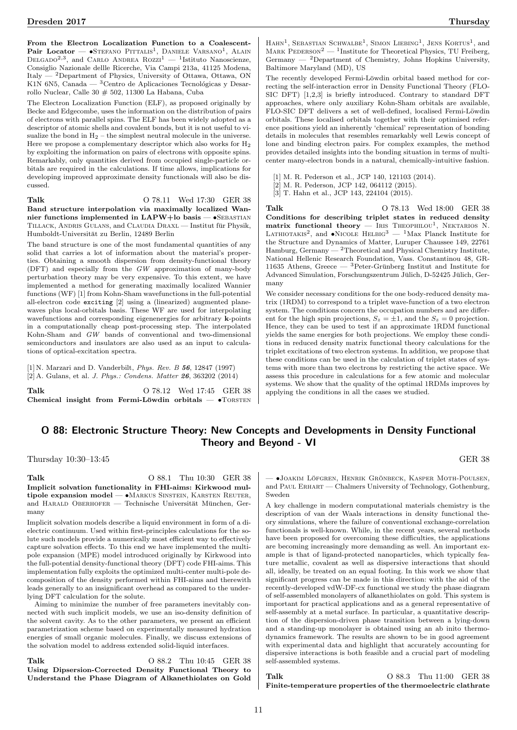From the Electron Localization Function to a Coalescent-Pair Locator —  $\bullet$ Stefano Pittalis<sup>1</sup>, Daniele Varsano<sup>1</sup>, Alain DELGADO<sup>2,3</sup>, and CARLO ANDREA ROZZI<sup>1</sup> — <sup>1</sup>Istituto Nanoscienze, Consiglio Nazionale dellle Ricerche, Via Campi 213a, 41125 Modena, Italy — <sup>2</sup>Department of Physics, University of Ottawa, Ottawa, ON K1N 6N5, Canada —  ${}^{3}$ Centro de Aplicaciones Tecnológicas y Desarrollo Nuclear, Calle 30 # 502, 11300 La Habana, Cuba

The Electron Localization Function (ELF), as proposed originally by Becke and Edgecombe, uses the information on the distribution of pairs of electrons with parallel spins. The ELF has been widely adopted as a descriptor of atomic shells and covalent bonds, but it is not useful to visualize the bond in  $H_2$  – the simplest neutral molecule in the universe. Here we propose a complementary descriptor which also works for  $H_2$ by exploiting the information on pairs of electrons with opposite spins. Remarkably, only quantities derived from occupied single-particle orbitals are required in the calculations. If time allows, implications for developing improved approximate density functionals will also be discussed.

Talk O 78.11 Wed 17:30 GER 38 Band structure interpolation via maximally localized Wannier functions implemented in  $\text{LAPW+lo}$  basis — •SEBASTIAN TILLACK, ANDRIS GULANS, and CLAUDIA DRAXL — Institut für Physik, Humboldt-Universität zu Berlin, 12489 Berlin

The band structure is one of the most fundamental quantities of any solid that carries a lot of information about the material's properties. Obtaining a smooth dispersion from density-functional theory (DFT) and especially from the GW approximation of many-body perturbation theory may be very expensive. To this extent, we have implemented a method for generating maximally localized Wannier functions (WF) [1] from Kohn-Sham wavefunctions in the full-potential all-electron code exciting [2] using a (linearized) augmented planewaves plus local-orbitals basis. These WF are used for interpolating wavefunctions and corresponding eigenenergies for arbitrary **k**-points in a computationally cheap post-processing step. The interpolated Kohn-Sham and GW bands of conventional and two-dimensional semiconductors and insulators are also used as an input to calculations of optical-excitation spectra.

[1] N. Marzari and D. Vanderbilt, Phys. Rev. B 56, 12847 (1997) [2] A. Gulans, et al. J. Phys.: Condens. Matter 26, 363202 (2014)

Talk 0 78.12 Wed 17:45 GER 38 Chemical insight from Fermi-Löwdin orbitals  $-$  •TORSTEN

HAHN<sup>1</sup>, SEBASTIAN SCHWALBE<sup>1</sup>, SIMON LIEBING<sup>1</sup>, JENS KORTUS<sup>1</sup>, and MARK PEDERSON<sup>2</sup> — <sup>1</sup>Institute for Theoretical Physics, TU Freiberg, Germany — <sup>2</sup>Department of Chemistry, Johns Hopkins University, Baltimore Maryland (MD), US

The recently developed Fermi-Löwdin orbital based method for correcting the self-interaction error in Density Functional Theory (FLO-SIC DFT) [1,2,3] is briefly introduced. Contrary to standard DFT approaches, where only auxiliary Kohn-Sham orbitals are available, FLO-SIC DFT delivers a set of well-defined, localised Fermi-Löwdin orbitals. These localised orbitals together with their optimised reference positions yield an inherently 'chemical' representation of bonding details in molecules that resembles remarkably well Lewis concept of lone and binding electron pairs. For complex examples, the method provides detailed insights into the bonding situation in terms of multicenter many-electron bonds in a natural, chemically-intuitive fashion.

[1] M. R. Pederson et al., JCP 140, 121103 (2014).

- [2] M. R. Pederson, JCP 142, 064112 (2015).
- [3] T. Hahn et al., JCP 143, 224104 (2015).

Talk O 78.13 Wed 18:00 GER 38 Conditions for describing triplet states in reduced density matrix functional theory  $-$  IRIS THEOPHILOU<sup>1</sup>, NEKTARIOS N. LATHIOTAKIS<sup>2</sup>, and  $\bullet$ NICOLE HELBIG<sup>3</sup> — <sup>1</sup>Max Planck Institute for the Structure and Dynamics of Matter, Luruper Chaussee 149, 22761 Hamburg, Germany — <sup>2</sup>Theoretical and Physical Chemistry Institute, National Hellenic Research Foundation, Vass. Constantinou 48, GR-11635 Athens, Greece —  ${}^{3}$ Peter-Grünberg Institut and Institute for Advanced Simulation, Forschungszentrum Jülich, D-52425 Jülich, Germany

We consider necessary conditions for the one body-reduced density matrix (1RDM) to correspond to a triplet wave-function of a two electron system. The conditions concern the occupation numbers and are different for the high spin projections,  $S_z = \pm 1$ , and the  $S_z = 0$  projection. Hence, they can be used to test if an approximate 1RDM functional yields the same energies for both projections. We employ these conditions in reduced density matrix functional theory calculations for the triplet excitations of two electron systems. In addition, we propose that these conditions can be used in the calculation of triplet states of systems with more than two electrons by restricting the active space. We assess this procedure in calculations for a few atomic and molecular systems. We show that the quality of the optimal 1RDMs improves by applying the conditions in all the cases we studied.

# O 88: Electronic Structure Theory: New Concepts and Developments in Density Functional Theory and Beyond - VI

Thursday 10:30–13:45 GER 38

Talk 0 88.1 Thu 10:30 GER 38 Implicit solvation functionality in FHI-aims: Kirkwood multipole expansion model - •MARKUS SINSTEIN, KARSTEN REUTER, and HARALD OBERHOFER — Technische Universität München, Germany

Implicit solvation models describe a liquid environment in form of a dielectric continuum. Used within first-principles calculations for the solute such models provide a numerically most efficient way to effectively capture solvation effects. To this end we have implemented the multipole expansion (MPE) model introduced originally by Kirkwood into the full-potential density-functional theory (DFT) code FHI-aims. This implementation fully exploits the optimized multi-center multi-pole decomposition of the density performed within FHI-aims and therewith leads generally to an insignificant overhead as compared to the underlying DFT calculation for the solute.

Aiming to minimize the number of free parameters inevitably connected with such implicit models, we use an iso-density definition of the solvent cavity. As to the other parameters, we present an efficient parametrization scheme based on experimentally measured hydration energies of small organic molecules. Finally, we discuss extensions of the solvation model to address extended solid-liquid interfaces.

Talk 0 88.2 Thu 10:45 GER 38 Using Dipsersion-Corrected Density Functional Theory to Understand the Phase Diagram of Alkanethiolates on Gold

– •JOAKIM LÖFGREN, HENRIK GRÖNBECK, KASPER MOTH-POULSEN, and Paul Erhart — Chalmers University of Technology, Gothenburg, Sweden

A key challenge in modern computational materials chemistry is the description of van der Waals interactions in density functional theory simulations, where the failure of conventional exchange-correlation functionals is well-known. While, in the recent years, several methods have been proposed for overcoming these difficulties, the applications are becoming increasingly more demanding as well. An important example is that of ligand-protected nanoparticles, which typically feature metallic, covalent as well as dispersive interactions that should all, ideally, be treated on an equal footing. In this work we show that significant progress can be made in this direction: with the aid of the recently-developed vdW-DF-cx functional we study the phase diagram of self-assembled monolayers of alkanethiolates on gold. This system is important for practical applications and as a general representative of self-assembly at a metal surface. In particular, a quantitative description of the dispersion-driven phase transition between a lying-down and a standing-up monolayer is obtained using an ab inito thermodynamics framework. The results are shown to be in good agreement with experimental data and highlight that accurately accounting for dispersive interactions is both feasible and a crucial part of modeling self-assembled systems.

Talk 0 88.3 Thu 11:00 GER 38 Finite-temperature properties of the thermoelectric clathrate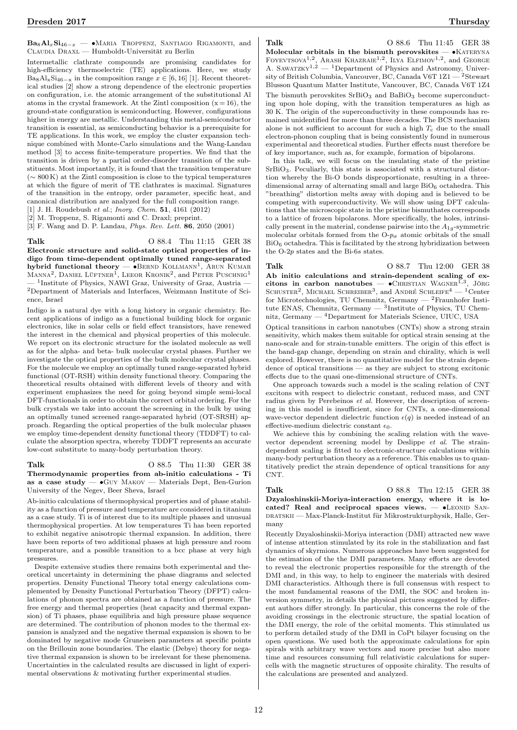$Ba_8Al_xSi_{46-x}$   $-$  •Maria Troppenz, Santiago Rigamonti, and CLAUDIA DRAXL — Humboldt-Universität zu Berlin

Intermetallic clathrate compounds are promising candidates for high-efficiency thermoelectric (TE) applications. Here, we study Ba<sub>8</sub>Al<sub>x</sub>Si<sub>46</sub><sub>-x</sub> in the composition range  $x \in [6, 16]$  [1]. Recent theoretical studies [2] show a strong dependence of the electronic properties on configuration, i.e. the atomic arrangement of the substitutional Al atoms in the crystal framework. At the Zintl composition  $(x = 16)$ , the ground-state configuration is semiconducting. However, configurations higher in energy are metallic. Understanding this metal-semiconductor transition is essential, as semiconducting behavior is a prerequisite for TE applications. In this work, we employ the cluster expansion technique combined with Monte-Carlo simulations and the Wang-Landau method [3] to access finite-temperature properties. We find that the transition is driven by a partial order-disorder transition of the substituents. Most importantly, it is found that the transition temperature  $({\sim 800 \text{ K}})$  at the Zintl composition is close to the typical temperatures at which the figure of merit of TE clathrates is maximal. Signatures of the transition in the entropy, order parameter, specific heat, and canonical distribution are analyzed for the full composition range.

[1] J. H. Roudebush et al.; Inora. Chem. **51**, 4161 (2012)

[2] M. Troppenz, S. Rigamonti and C. Draxl; preprint.

[3] F. Wang and D. P. Landau, Phys. Rev. Lett. 86, 2050 (2001)

Talk 0 88.4 Thu 11:15 GER 38

Electronic structure and solid-state optical properties of indigo from time-dependent optimally tuned range-separated hybrid functional theory — •BERND KOLLMANN<sup>1</sup>, ARUN KUMAR  $M_{\rm ANNA}^2$ , Daniel Lüftner<sup>1</sup>, Leeor Kronik<sup>2</sup>, and Peter Puschnig<sup>1</sup>  $-$  <sup>1</sup>Institute of Physics, NAWI Graz, University of Graz, Austria  $^{2}$ Department of Materials and Interfaces, Weizmann Institute of Science, Israel

Indigo is a natural dye with a long history in organic chemistry. Recent applications of indigo as a functional building block for organic electronics, like in solar cells or field effect transistors, have renewed the interest in the chemical and physical properties of this molecule. We report on its electronic structure for the isolated molecule as well as for the alpha- and beta- bulk molecular crystal phases. Further we investigate the optical properties of the bulk molecular crystal phases. For the molecule we employ an optimally tuned range-separated hybrid functional (OT-RSH) within density functional theory. Comparing the theoretical results obtained with different levels of theory and with experiment emphasizes the need for going beyond simple semi-local DFT-functionals in order to obtain the correct orbital ordering. For the bulk crystals we take into account the screening in the bulk by using an optimally tuned screened range-separated hybrid (OT-SRSH) approach. Regarding the optical properties of the bulk molecular phases we employ time-dependent density functional theory (TDDFT) to calculate the absorption spectra, whereby TDDFT represents an accurate low-cost substitute to many-body perturbation theory.

Talk 0 88.5 Thu 11:30 GER 38 Thermodynamic properties from ab-initio calculations - Ti as a case study  $\sim$   $\bullet$  GUY MAKOV  $-$  Materials Dept, Ben-Gurion University of the Negev, Beer Sheva, Israel

Ab-initio calculations of thermophysical properties and of phase stability as a function of pressure and temperature are considered in titanium as a case study. Ti is of interest due to its multiple phases and unusual thermophysical properties. At low temperatures Ti has been reported to exhibit negative anisotropic thermal expansion. In addition, there have been reports of two additional phases at high pressure and room temperature, and a possible transition to a bcc phase at very high pressures.

Despite extensive studies there remains both experimental and theoretical uncertainty in determining the phase diagrams and selected properties. Density Functional Theory total energy calculations complemented by Density Functional Perturbation Theory (DFPT) calculations of phonon spectra are obtained as a function of pressure. The free energy and thermal properties (heat capacity and thermal expansion) of Ti phases, phase equilibria and high pressure phase sequence are determined. The contribution of phonon modes to the thermal expansion is analyzed and the negative thermal expansion is shown to be dominated by negative mode Gruneisen parameters at specific points on the Brillouin zone boundaries. The elastic (Debye) theory for negative thermal expansion is shown to be irrelevant for these phenomena. Uncertainties in the calculated results are discussed in light of experimental observations & motivating further experimental studies.

Talk 0 88.6 Thu 11:45 GER 38 Molecular orbitals in the bismuth perovskites  $\bullet$ KATERYNA FOYEVTSOVA<sup>1,2</sup>, ARASH KHAZRAIE<sup>1,2</sup>, ILYA ELFIMOV<sup>1,2</sup>, and GEORGE A. SAWATZKY<sup>1,2</sup> — <sup>1</sup>Department of Physics and Astronomy, University of British Columbia, Vancouver, BC, Canada V6T 1Z1 — <sup>2</sup>Stewart Blusson Quantum Matter Institute, Vancouver, BC, Canada V6T 1Z4 The bismuth perovskites  $SrBiO<sub>3</sub>$  and  $BaBiO<sub>3</sub>$  become superconducting upon hole doping, with the transition temperatures as high as 30 K. The origin of the superconductivity in these compounds has remained unidentified for more than three decades. The BCS mechanism alone is not sufficient to account for such a high  $T_c$  due to the small electron-phonon coupling that is being consistently found in numerous experimental and theoretical studies. Further effects must therefore be of key importance, such as, for example, formation of bipolarons.

In this talk, we will focus on the insulating state of the pristine SrBiO3. Peculiarly, this state is associated with a structural distortion whereby the Bi-O bonds disproportionate, resulting in a threedimensional array of alternating small and large  $BiO<sub>6</sub>$  octahedra. This "breathing" distortion melts away with doping and is believed to be competing with superconductivity. We will show using DFT calculations that the microscopic state in the pristine bismuthates corresponds to a lattice of frozen bipolarons. More specifically, the holes, intrinsically present in the material, condense pairwise into the  $A_{1g}$ -symmetric molecular orbitals formed from the  $O-p_{\sigma}$  atomic orbitals of the small  $BiO<sub>6</sub> octahedra. This is facilitated by the strong hybridization between$ the O-2p states and the Bi-6s states.

Talk 0 88.7 Thu 12:00 GER 38 Ab initio calculations and strain-dependent scaling of excitons in carbon nanotubes  $\bullet$ CHRISTIAN WAGNER<sup>1</sup>  $^3$ . Jörg SCHUSTER<sup>2</sup>, MICHAEL SCHREIBER<sup>3</sup>, and ANDRÉ SCHLEIFE<sup>4</sup> — <sup>1</sup>Center for Microtechnologies, TU Chemnitz, Germany —  $^2\mathrm{Fraunhofer}$  Institute ENAS, Chemnitz, Germany  $-$  <sup>3</sup>Institute of Physics, TU Chemnitz, Germany — <sup>4</sup>Department for Materials Science, UIUC, USA

Optical transitions in carbon nanotubes (CNTs) show a strong strain sensitivity, which makes them suitable for optical strain sensing at the nano-scale and for strain-tunable emitters. The origin of this effect is the band-gap change, depending on strain and chirality, which is well explored. However, there is no quantitative model for the strain dependence of optical transitions — as they are subject to strong excitonic effects due to the quasi one-dimensional structure of CNTs.

One approach towards such a model is the scaling relation of CNT excitons with respect to dielectric constant, reduced mass, and CNT radius given by Perebeinos et al. However, the description of screening in this model is insufficient, since for CNTs, a one-dimensional wave-vector dependent dielectric function  $\epsilon(q)$  is needed instead of an effective-medium dielectric constant  $\epsilon_0$ .

We achieve this by combining the scaling relation with the wavevector dependent screening model by Deslippe et al. The straindependent scaling is fitted to electronic-structure calculations within many-body perturbation theory as a reference. This enables us to quantitatively predict the strain dependence of optical transitions for any CNT.

Talk 0 88.8 Thu 12:15 GER 38 Dzyaloshinskii-Moriya-interaction energy, where it is located? Real and reciprocal spaces views.  $\bullet$ LEONID SAN-DRATSKII — Max-Planck-Institut für Mikrostrukturphysik, Halle, Germany

Recently Dzyaloshinskii-Moriya interaction (DMI) attracted new wave of intense attention stimulated by its role in the stabilization and fast dynamics of skyrmions. Numerous approaches have been suggested for the estimation of the the DMI parameters. Many efforts are devoted to reveal the electronic properties responsible for the strength of the DMI and, in this way, to help to engineer the materials with desired DMI characteristics. Although there is full consensus with respect to the most fundamental reasons of the DMI, the SOC and broken inversion symmetry, in details the physical pictures suggested by different authors differ strongly. In particular, this concerns the role of the avoiding crossings in the electronic structure, the spatial location of the DMI energy, the role of the orbital moments. This stimulated us to perform detailed study of the DMI in CoPt bilayer focusing on the open questions. We used both the approximate calculations for spin spirals with arbitrary wave vectors and more precise but also more time and resources consuming full relativistic calculations for supercells with the magnetic structures of opposite chirality. The results of the calculations are presented and analyzed.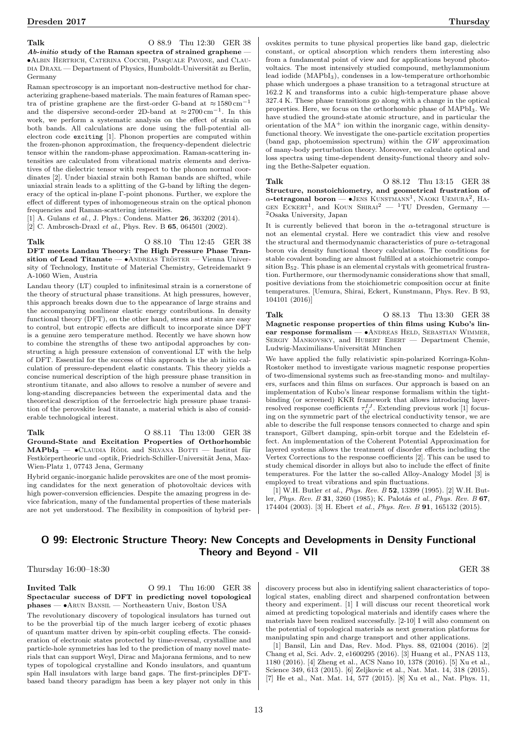### Talk **O 88.9** Thu 12:30 GER 38

 $Ab\text{-}initio$  study of the Raman spectra of strained graphene – •Albin Hertrich, Caterina Cocchi, Pasquale Pavone, and Clau-DIA DRAXL — Department of Physics, Humboldt-Universität zu Berlin, Germany

Raman spectroscopy is an important non-destructive method for characterizing graphene-based materials. The main features of Raman spectra of pristine graphene are the first-order G-band at  $\approx 1580\,\mathrm{cm}^{-1}$ and the dispersive second-order 2D-band at  $\approx 2700 \,\mathrm{cm}^{-1}$ . In this work, we perform a systematic analysis on the effect of strain on both bands. All calculations are done using the full-potential allelectron code exciting [1]. Phonon properties are computed within the frozen-phonon approximation, the frequency-dependent dielectric tensor within the random-phase approximation. Raman-scattering intensities are calculated from vibrational matrix elements and derivatives of the dielectric tensor with respect to the phonon normal coordinates [2]. Under biaxial strain both Raman bands are shifted, while uniaxial strain leads to a splitting of the G-band by lifting the degeneracy of the optical in-plane Γ-point phonons. Further, we explore the effect of different types of inhomogeneous strain on the optical phonon frequencies and Raman-scattering intensities.

[1] A. Gulans et al., J. Phys.: Condens. Matter 26, 363202 (2014). [2] C. Ambrosch-Draxl *et al.*, Phys. Rev. B **65**, 064501 (2002).

A-1060 Wien, Austria

Talk 0 88.10 Thu 12:45 GER 38 DFT meets Landau Theory: The High Pressure Phase Transition of Lead Titanate  $- \bullet$ ANDREAS TRÖSTER  $-$  Vienna University of Technology, Institute of Material Chemistry, Getreidemarkt 9

Landau theory (LT) coupled to infinitesimal strain is a cornerstone of the theory of structural phase transitions. At high pressures, however, this approach breaks down due to the appearance of large strains and the accompanying nonlinear elastic energy contributions. In density functional theory (DFT), on the other hand, stress and strain are easy to control, but entropic effects are difficult to incorporate since DFT is a genuine zero temperature method. Recently we have shown how to combine the strengths of these two antipodal approaches by constructing a high pressure extension of conventional LT with the help of DFT. Essential for the success of this approach is the ab initio calculation of pressure-dependent elastic constants. This theory yields a concise numerical description of the high pressure phase transition in strontium titanate, and also allows to resolve a number of severe and long-standing discrepancies between the experimental data and the theoretical description of the ferroelectric high pressure phase transition of the perovskite lead titanate, a material which is also of considerable technological interest.

Talk 0 88.11 Thu 13:00 GER 38 Ground-State and Excitation Properties of Orthorhombic  $\text{MAPbI}_3$  —  $\bullet$ CLAUDIA RÖDL and SILVANA BOTTI — Institut für Festkörpertheorie und -optik, Friedrich-Schiller-Universität Jena, Max-Wien-Platz 1, 07743 Jena, Germany

Hybrid organic-inorganic halide perovskites are one of the most promising candidates for the next generation of photovoltaic devices with high power-conversion efficiencies. Despite the amazing progress in device fabrication, many of the fundamental properties of these materials are not yet understood. The flexibility in composition of hybrid perovskites permits to tune physical properties like band gap, dielectric constant, or optical absorption which renders them interesting also from a fundamental point of view and for applications beyond photovoltaics. The most intensively studied compound, methylammonium lead iodide (MAPbI3), condenses in a low-temperature orthorhombic phase which undergoes a phase transition to a tetragonal structure at 162.2 K and transforms into a cubic high-temperature phase above 327.4 K. These phase transitions go along with a change in the optical properties. Here, we focus on the orthorhombic phase of MAPbI3. We have studied the ground-state atomic structure, and in particular the orientation of the  ${\rm MA}^+$  ion within the inorganic cage, within densityfunctional theory. We investigate the one-particle excitation properties (band gap, photoemission spectrum) within the GW approximation of many-body perturbation theory. Moreover, we calculate optical and loss spectra using time-dependent density-functional theory and solving the Bethe-Salpeter equation.

Talk 0 88.12 Thu 13:15 GER 38 Structure, nonstoichiometry, and geometrical frustration of  $\alpha$ -tetragonal boron — •JENS KUNSTMANN<sup>1</sup>, NAOKI UEMURA<sup>2</sup>, HA-GEN ECKERT<sup>1</sup>, and KOUN SHIRAI<sup>2</sup> - <sup>1</sup>TU Dresden, Germany -<sup>2</sup>Osaka University, Japan

It is currently believed that boron in the  $\alpha$ -tetragonal structure is not an elemental crystal. Here we contradict this view and resolve the structural and thermodynamic characteristics of pure  $\alpha$ -tetragonal boron via density functional theory calculations. The conditions for stable covalent bonding are almost fulfilled at a stoichiometric composition B52. This phase is an elemental crystals with geometrical frustration. Furthermore, our thermodynamic considerations show that small, positive deviations from the stoichiometric composition occur at finite temperatures. [Uemura, Shirai, Eckert, Kunstmann, Phys. Rev. B 93, 104101 (2016)]

Talk 0 88.13 Thu 13:30 GER 38 Magnetic response properties of thin films using Kubo's linear response formalism —  $\bullet$ ANDREAS HELD, SEBASTIAN WIMMER, SERGIY MANKOVSKY, and HUBERT EBERT - Department Chemie, Ludwig-Maximilians-Universität München

We have applied the fully relativistic spin-polarized Korringa-Kohn-Rostoker method to investigate various magnetic response properties of two-dimensional systems such as free-standing mono- and multilayers, surfaces and thin films on surfaces. Our approach is based on an implementation of Kubo's linear response formalism within the tightbinding (or screened) KKR framework that allows introducing layerresolved response coefficients  $\tau_{ij}^{IJ}$ . Extending previous work [1] focus-<br>ing on the symmetric part of the electrical conductivity tensor, we are able to describe the full response tensors connected to charge and spin transport, Gilbert damping, spin-orbit torque and the Edelstein effect. An implementation of the Coherent Potential Approximation for layered systems allows the treatment of disorder effects including the Vertex Corrections to the response coefficients [2]. This can be used to study chemical disorder in alloys but also to include the effect of finite temperatures. For the latter the so-called Alloy-Analogy Model [3] is employed to treat vibrations and spin fluctuations.

[1] W.H. Butler et al., Phys. Rev. B 52, 13399 (1995). [2] W.H. Butler, *Phys. Rev. B* 31, 3260 (1985); K. Palotás et al., *Phys. Rev. B* 67, 174404 (2003). [3] H. Ebert et al., Phys. Rev. B 91, 165132 (2015).

# O 99: Electronic Structure Theory: New Concepts and Developments in Density Functional Theory and Beyond - VII

Thursday 16:00–18:30 GER 38

### **Invited Talk**  $\qquad \qquad$  0 99.1 Thu 16:00 GER 38 Spectacular success of DFT in predicting novel topological phases — •Arun Bansil — Northeastern Univ, Boston USA

The revolutionary discovery of topological insulators has turned out to be the proverbial tip of the much larger iceberg of exotic phases of quantum matter driven by spin-orbit coupling effects. The consideration of electronic states protected by time-reversal, crystalline and particle-hole symmetries has led to the prediction of many novel materials that can support Weyl, Dirac and Majorana fermions, and to new types of topological crystalline and Kondo insulators, and quantum spin Hall insulators with large band gaps. The first-principles DFTbased band theory paradigm has been a key player not only in this discovery process but also in identifying salient characteristics of topological states, enabling direct and sharpened confrontation between theory and experiment. [1] I will discuss our recent theoretical work aimed at predicting topological materials and identify cases where the materials have been realized successfully. [2-10] I will also comment on the potential of topological materials as next generation platforms for manipulating spin and charge transport and other applications.

[1] Bansil, Lin and Das, Rev. Mod. Phys. 88, 021004 (2016). [2] Chang et al, Sci. Adv. 2, e1600295 (2016). [3] Huang et al., PNAS 113, 1180 (2016). [4] Zheng et al., ACS Nano 10, 1378 (2016). [5] Xu et al., Science 349, 613 (2015). [6] Zeljkovic et al., Nat. Mat. 14, 318 (2015). [7] He et al., Nat. Mat. 14, 577 (2015). [8] Xu et al., Nat. Phys. 11,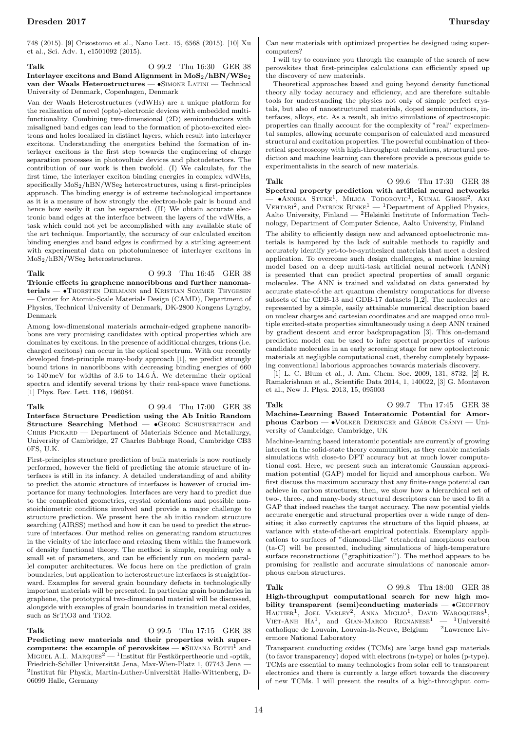748 (2015). [9] Crisostomo et al., Nano Lett. 15, 6568 (2015). [10] Xu et al., Sci. Adv. 1, e1501092 (2015).

### Talk **O 99.2** Thu 16:30 GER 38 Interlayer excitons and Band Alignment in  $MoS_2/hBN/WSe_2$ van der Waals Heterostructures — •Simone Latini — Technical University of Denmark, Copenhagen, Denmark

Van der Waals Heterostructures (vdWHs) are a unique platform for the realization of novel (opto)-electronic devices with embedded multifunctionality. Combining two-dimensional (2D) semiconductors with misaligned band edges can lead to the formation of photo-excited electrons and holes localized in distinct layers, which result into interlayer excitons. Understanding the energetics behind the formation of interlayer excitons is the first step towards the engineering of charge separation processes in photovoltaic devices and photodetectors. The contribution of our work is then twofold. (I) We calculate, for the first time, the interlayer exciton binding energies in complex vdWHs, specifically  $MoS_2/hBN/WSe_2$  heterostructures, using a first-principles approach. The binding energy is of extreme technological importance as it is a measure of how strongly the electron-hole pair is bound and hence how easily it can be separated. (II) We obtain accurate electronic band edges at the interface between the layers of the vdWHs, a task which could not yet be accomplished with any available state of the art technique. Importantly, the accuracy of our calculated exciton binding energies and band edges is confirmed by a striking agreement with experimental data on photoluminesce of interlayer excitons in MoS2/hBN/WSe<sup>2</sup> heterostructures.

Talk 0 99.3 Thu 16:45 GER 38 Trionic effects in graphene nanoribbons and further nanomaterials — •Thorsten Deilmann and Kristian Sommer Thygesen — Center for Atomic-Scale Materials Design (CAMD), Department of Physics, Technical University of Denmark, DK-2800 Kongens Lyngby, Denmark

Among low-dimensional materials armchair-edged graphene nanoribbons are very promising candidates with optical properties which are dominates by excitons. In the presence of additional charges, trions (i.e. charged excitons) can occur in the optical spectrum. With our recently developed first-principle many-body approach [1], we predict strongly bound trions in nanoribbons with decreasing binding energies of 660 to  $140 \,\mathrm{meV}$  for widths of  $3.6$  to  $14.6 \,\mathrm{\AA}$ . We determine their optical spectra and identify several trions by their real-space wave functions. [1] Phys. Rev. Lett. **116**, 196084.

Talk 0 99.4 Thu 17:00 GER 38 Interface Structure Prediction using the Ab Initio Random Structure Searching Method —  $\bullet$ GEORG SCHUSTERITSCH and CHRIS PICKARD — Department of Materials Science and Metallurgy, University of Cambridge, 27 Charles Babbage Road, Cambridge CB3 0FS, U.K.

First-principles structure prediction of bulk materials is now routinely performed, however the field of predicting the atomic structure of interfaces is still in its infancy. A detailed understanding of and ability to predict the atomic structure of interfaces is however of crucial importance for many technologies. Interfaces are very hard to predict due to the complicated geometries, crystal orientations and possible nonstoichiometric conditions involved and provide a major challenge to structure prediction. We present here the ab initio random structure searching (AIRSS) method and how it can be used to predict the structure of interfaces. Our method relies on generating random structures in the vicinity of the interface and relaxing them within the framework of density functional theory. The method is simple, requiring only a small set of parameters, and can be efficiently run on modern parallel computer architectures. We focus here on the prediction of grain boundaries, but application to heterostructure interfaces is straightforward. Examples for several grain boundary defects in technologically important materials will be presented: In particular grain boundaries in graphene, the prototypical two-dimensional material will be discussed, alongside with examples of grain boundaries in transition metal oxides, such as SrTiO3 and TiO2.

Talk 0 99.5 Thu 17:15 GER 38

Predicting new materials and their properties with supercomputers: the example of perovskites  $\bullet$ SILVANA BOTTI<sup>1</sup> and MIGUEL A.L. MARQUES<sup>2</sup> — <sup>1</sup>Institut für Festkörpertheorie und -optik, Friedrich-Schiller Universität Jena, Max-Wien-Platz 1, 07743 Jena - ${}^{2}$ Institut für Physik, Martin-Luther-Universität Halle-Wittenberg, D-06099 Halle, Germany

Can new materials with optimized properties be designed using supercomputers?

I will try to convince you through the example of the search of new perovskites that first-principles calculations can efficiently speed up the discovery of new materials.

Theoretical approaches based and going beyond density functional theory ally today accuracy and efficiency, and are therefore suitable tools for understanding the physics not only of simple perfect crystals, but also of nanostructured materials, doped semiconductors, interfaces, alloys, etc. As a result, ab initio simulations of spectroscopic properties can finally account for the complexity of "real" experimental samples, allowing accurate comparison of calculated and measured structural and excitation properties. The powerful combination of theoretical spectroscopy with high-throughput calculations, structural prediction and machine learning can therefore provide a precious guide to experimentalists in the search of new materials.

Talk 0 99.6 Thu 17:30 GER 38 Spectral property prediction with artificial neural networks — ●ANNIKA STUKE<sup>1</sup>, MILICA TODOROVIC<sup>1</sup>, KUNAL GHOSH<sup>2</sup>, AKI<br>VEHTARI<sup>2</sup>, and PATRICK RINKE<sup>1</sup> — <sup>1</sup>Department of Applied Physics, Aalto University, Finland — <sup>2</sup>Helsinki Institute of Information Technology, Department of Computer Science, Aalto University, Finland

The ability to efficiently design new and advanced optoelectronic materials is hampered by the lack of suitable methods to rapidly and accurately identify yet-to-be-synthesized materials that meet a desired application. To overcome such design challenges, a machine learning model based on a deep multi-task artificial neural network (ANN) is presented that can predict spectral properties of small organic molecules. The ANN is trained and validated on data generated by accurate state-of-the art quantum chemistry computations for diverse subsets of the GDB-13 and GDB-17 datasets [1,2]. The molecules are represented by a simple, easily attainable numerical description based on nuclear charges and cartesian coordinates and are mapped onto multiple excited-state properties simultaneously using a deep ANN trained by gradient descent and error backpropagation [3]. This on-demand prediction model can be used to infer spectral properties of various candidate molecules in an early screening stage for new optoelectronic materials at negligible computational cost, thereby completely bypassing conventional laborious approaches towards materials discovery.

[1] L. C. Blum et al., J. Am. Chem. Soc. 2009, 131, 8732, [2] R. Ramakrishnan et al., Scientific Data 2014, 1, 140022, [3] G. Montavon et al., New J. Phys. 2013, 15, 095003

Talk 0 99.7 Thu 17:45 GER 38 Machine-Learning Based Interatomic Potential for Amorphous  $\text{Carbon} \longrightarrow \text{VOLKER}$  DERINGER and  $\text{GÁBOR}$   $\text{CSÁNYI} \longrightarrow \text{Uni}$ versity of Cambridge, Cambridge, UK

Machine-learning based interatomic potentials are currently of growing interest in the solid-state theory communities, as they enable materials simulations with close-to DFT accuracy but at much lower computational cost. Here, we present such an interatomic Gaussian approximation potential (GAP) model for liquid and amorphous carbon. We first discuss the maximum accuracy that any finite-range potential can achieve in carbon structures; then, we show how a hierarchical set of two-, three-, and many-body structural descriptors can be used to fit a GAP that indeed reaches the target accuracy. The new potential yields accurate energetic and structural properties over a wide range of densities; it also correctly captures the structure of the liquid phases, at variance with state-of-the-art empirical potentials. Exemplary applications to surfaces of "diamond-like" tetrahedral amorphous carbon (ta-C) will be presented, including simulations of high-temperature surface reconstructions ("graphitization"). The method appears to be promising for realistic and accurate simulations of nanoscale amorphous carbon structures.

Talk 0 99.8 Thu 18:00 GER 38 High-throughput computational search for new high mobility transparent (semi)conducting materials  $\bullet$ GEOFFROY HAUTIER<sup>1</sup>, JOEL VARLEY<sup>2</sup>, ANNA MIGLIO<sup>1</sup>, DAVID WAROQUIERS<sup>1</sup>, VIET-ANH  $HA^1$ , and GIAN-MARCO RIGNANESE<sup>1</sup> - <sup>1</sup>Université catholique de Louvain, Louvain-la-Neuve, Belgium — <sup>2</sup>Lawrence Livermore National Laboratory

Transparent conducting oxides (TCMs) are large band gap materials (to favor transparency) doped with electrons (n-type) or holes (p-type). TCMs are essential to many technologies from solar cell to transparent electronics and there is currently a large effort towards the discovery of new TCMs. I will present the results of a high-throughput com